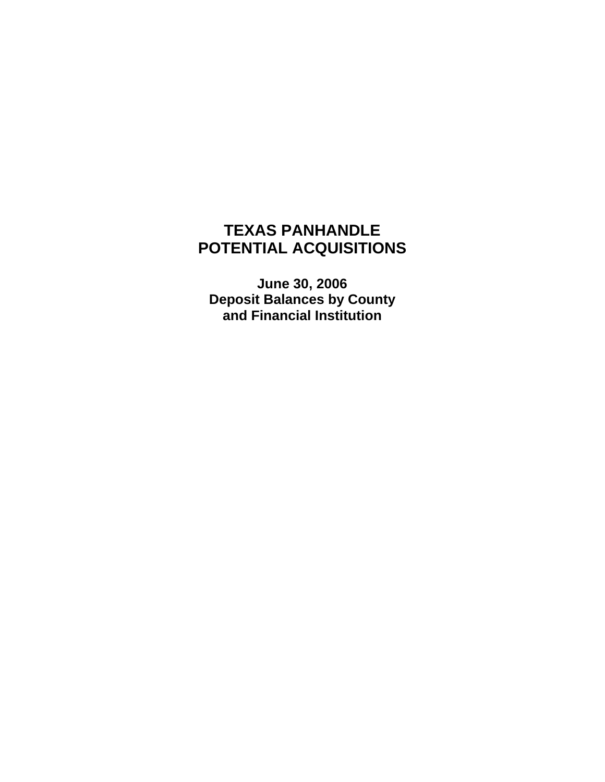#### **TEXAS PANHANDLE POTENTIAL ACQUISITIONS**

**June 30, 2006 Deposit Balances by County and Financial Institution**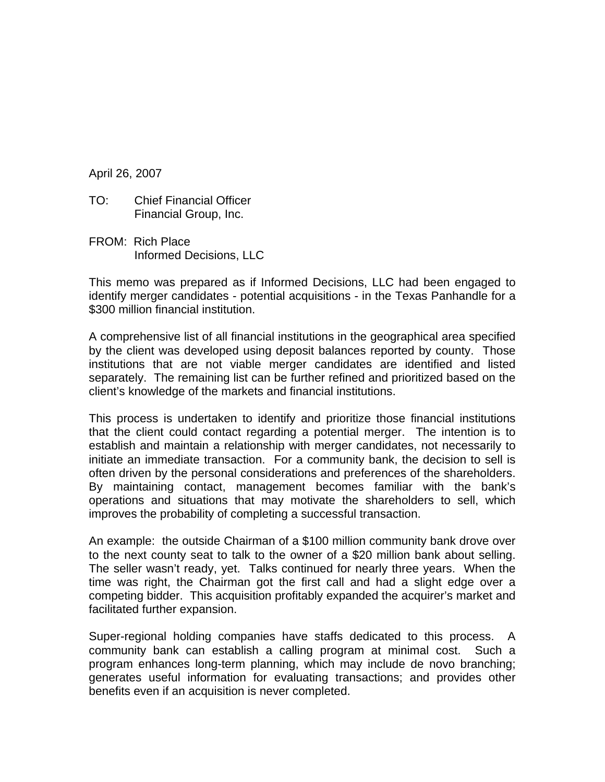April 26, 2007

- TO: Chief Financial Officer Financial Group, Inc.
- FROM: Rich Place Informed Decisions, LLC

This memo was prepared as if Informed Decisions, LLC had been engaged to identify merger candidates - potential acquisitions - in the Texas Panhandle for a \$300 million financial institution.

A comprehensive list of all financial institutions in the geographical area specified by the client was developed using deposit balances reported by county. Those institutions that are not viable merger candidates are identified and listed separately. The remaining list can be further refined and prioritized based on the client's knowledge of the markets and financial institutions.

This process is undertaken to identify and prioritize those financial institutions that the client could contact regarding a potential merger. The intention is to establish and maintain a relationship with merger candidates, not necessarily to initiate an immediate transaction. For a community bank, the decision to sell is often driven by the personal considerations and preferences of the shareholders. By maintaining contact, management becomes familiar with the bank's operations and situations that may motivate the shareholders to sell, which improves the probability of completing a successful transaction.

An example: the outside Chairman of a \$100 million community bank drove over to the next county seat to talk to the owner of a \$20 million bank about selling. The seller wasn't ready, yet. Talks continued for nearly three years. When the time was right, the Chairman got the first call and had a slight edge over a competing bidder. This acquisition profitably expanded the acquirer's market and facilitated further expansion.

Super-regional holding companies have staffs dedicated to this process. A community bank can establish a calling program at minimal cost. Such a program enhances long-term planning, which may include de novo branching; generates useful information for evaluating transactions; and provides other benefits even if an acquisition is never completed.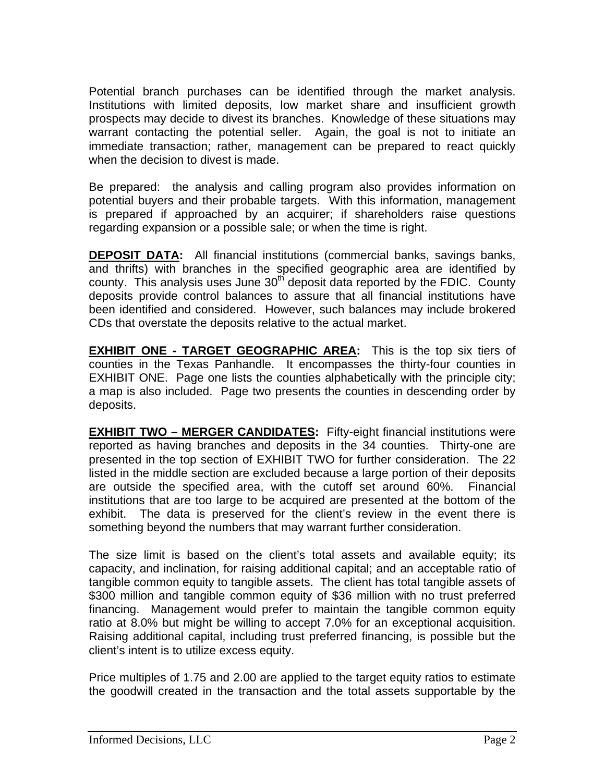Potential branch purchases can be identified through the market analysis. Institutions with limited deposits, low market share and insufficient growth prospects may decide to divest its branches. Knowledge of these situations may warrant contacting the potential seller. Again, the goal is not to initiate an immediate transaction; rather, management can be prepared to react quickly when the decision to divest is made.

Be prepared: the analysis and calling program also provides information on potential buyers and their probable targets. With this information, management is prepared if approached by an acquirer; if shareholders raise questions regarding expansion or a possible sale; or when the time is right.

**DEPOSIT DATA:** All financial institutions (commercial banks, savings banks, and thrifts) with branches in the specified geographic area are identified by county. This analysis uses June  $30<sup>th</sup>$  deposit data reported by the FDIC. County deposits provide control balances to assure that all financial institutions have been identified and considered. However, such balances may include brokered CDs that overstate the deposits relative to the actual market.

**EXHIBIT ONE - TARGET GEOGRAPHIC AREA:** This is the top six tiers of counties in the Texas Panhandle. It encompasses the thirty-four counties in EXHIBIT ONE. Page one lists the counties alphabetically with the principle city; a map is also included. Page two presents the counties in descending order by deposits.

**EXHIBIT TWO - MERGER CANDIDATES:** Fifty-eight financial institutions were reported as having branches and deposits in the 34 counties. Thirty-one are presented in the top section of EXHIBIT TWO for further consideration. The 22 listed in the middle section are excluded because a large portion of their deposits are outside the specified area, with the cutoff set around 60%. Financial institutions that are too large to be acquired are presented at the bottom of the exhibit. The data is preserved for the client's review in the event there is something beyond the numbers that may warrant further consideration.

The size limit is based on the client's total assets and available equity; its capacity, and inclination, for raising additional capital; and an acceptable ratio of tangible common equity to tangible assets. The client has total tangible assets of \$300 million and tangible common equity of \$36 million with no trust preferred financing. Management would prefer to maintain the tangible common equity ratio at 8.0% but might be willing to accept 7.0% for an exceptional acquisition. Raising additional capital, including trust preferred financing, is possible but the client's intent is to utilize excess equity.

Price multiples of 1.75 and 2.00 are applied to the target equity ratios to estimate the goodwill created in the transaction and the total assets supportable by the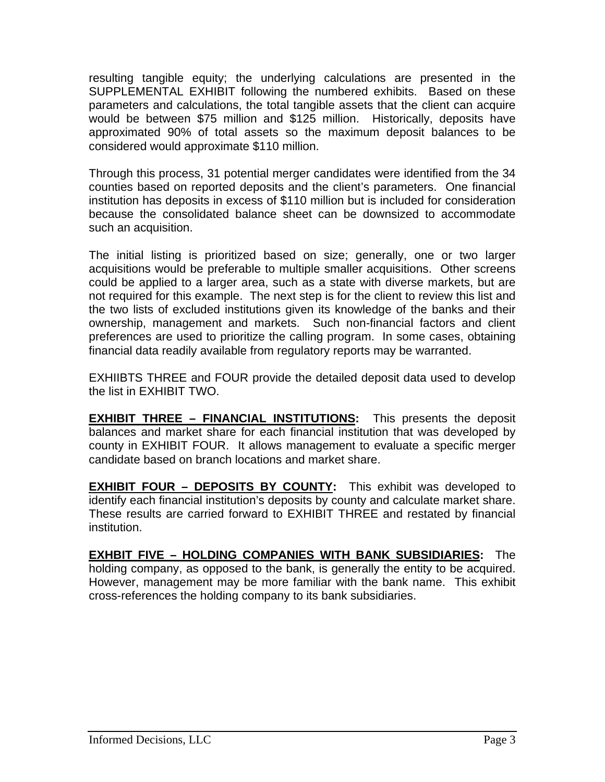resulting tangible equity; the underlying calculations are presented in the SUPPLEMENTAL EXHIBIT following the numbered exhibits. Based on these parameters and calculations, the total tangible assets that the client can acquire would be between \$75 million and \$125 million. Historically, deposits have approximated 90% of total assets so the maximum deposit balances to be considered would approximate \$110 million.

Through this process, 31 potential merger candidates were identified from the 34 counties based on reported deposits and the client's parameters. One financial institution has deposits in excess of \$110 million but is included for consideration because the consolidated balance sheet can be downsized to accommodate such an acquisition.

The initial listing is prioritized based on size; generally, one or two larger acquisitions would be preferable to multiple smaller acquisitions. Other screens could be applied to a larger area, such as a state with diverse markets, but are not required for this example. The next step is for the client to review this list and the two lists of excluded institutions given its knowledge of the banks and their ownership, management and markets. Such non-financial factors and client preferences are used to prioritize the calling program. In some cases, obtaining financial data readily available from regulatory reports may be warranted.

EXHIIBTS THREE and FOUR provide the detailed deposit data used to develop the list in EXHIBIT TWO.

**EXHIBIT THREE – FINANCIAL INSTITUTIONS:** This presents the deposit balances and market share for each financial institution that was developed by county in EXHIBIT FOUR. It allows management to evaluate a specific merger candidate based on branch locations and market share.

**EXHIBIT FOUR – DEPOSITS BY COUNTY:** This exhibit was developed to identify each financial institution's deposits by county and calculate market share. These results are carried forward to EXHIBIT THREE and restated by financial institution.

**EXHBIT FIVE – HOLDING COMPANIES WITH BANK SUBSIDIARIES:** The holding company, as opposed to the bank, is generally the entity to be acquired. However, management may be more familiar with the bank name. This exhibit cross-references the holding company to its bank subsidiaries.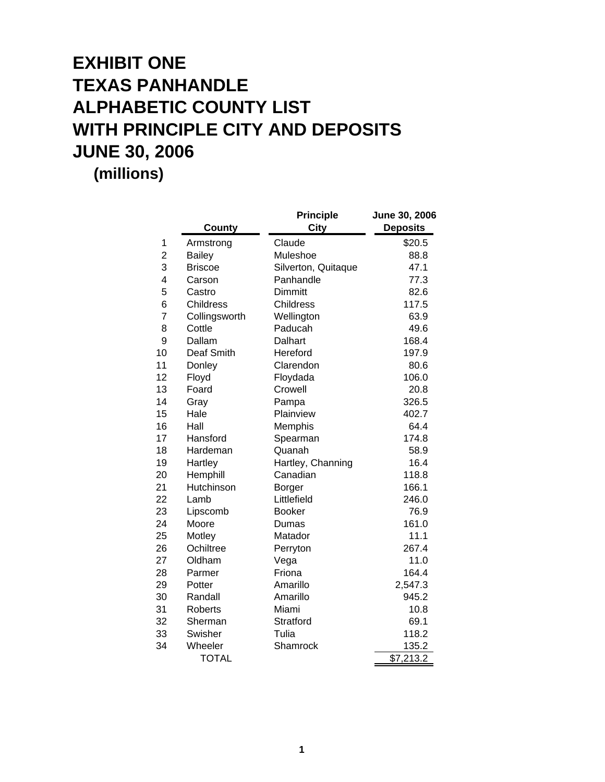## **EXHIBIT ONE TEXAS PANHANDLE ALPHABETIC COUNTY LIST WITH PRINCIPLE CITY AND DEPOSITS JUNE 30, 2006 (millions)**

|                |                  | <b>Principle</b>    | June 30, 2006   |
|----------------|------------------|---------------------|-----------------|
|                | <b>County</b>    | <b>City</b>         | <b>Deposits</b> |
| 1              | Armstrong        | Claude              | \$20.5          |
| $\overline{2}$ | <b>Bailey</b>    | Muleshoe            | 88.8            |
| 3              | <b>Briscoe</b>   | Silverton, Quitaque | 47.1            |
| 4              | Carson           | Panhandle           | 77.3            |
| 5              | Castro           | <b>Dimmitt</b>      | 82.6            |
| 6              | <b>Childress</b> | Childress           | 117.5           |
| 7              | Collingsworth    | Wellington          | 63.9            |
| 8              | Cottle           | Paducah             | 49.6            |
| 9              | Dallam           | Dalhart             | 168.4           |
| 10             | Deaf Smith       | Hereford            | 197.9           |
| 11             | Donley           | Clarendon           | 80.6            |
| 12             | Floyd            | Floydada            | 106.0           |
| 13             | Foard            | Crowell             | 20.8            |
| 14             | Gray             | Pampa               | 326.5           |
| 15             | Hale             | Plainview           | 402.7           |
| 16             | Hall             | Memphis             | 64.4            |
| 17             | Hansford         | Spearman            | 174.8           |
| 18             | Hardeman         | Quanah              | 58.9            |
| 19             | Hartley          | Hartley, Channing   | 16.4            |
| 20             | Hemphill         | Canadian            | 118.8           |
| 21             | Hutchinson       | <b>Borger</b>       | 166.1           |
| 22             | Lamb             | Littlefield         | 246.0           |
| 23             | Lipscomb         | <b>Booker</b>       | 76.9            |
| 24             | Moore            | Dumas               | 161.0           |
| 25             | Motley           | Matador             | 11.1            |
| 26             | Ochiltree        | Perryton            | 267.4           |
| 27             | Oldham           | Vega                | 11.0            |
| 28             | Parmer           | Friona              | 164.4           |
| 29             | Potter           | Amarillo            | 2,547.3         |
| 30             | Randall          | Amarillo            | 945.2           |
| 31             | <b>Roberts</b>   | Miami               | 10.8            |
| 32             | Sherman          | Stratford           | 69.1            |
| 33             | Swisher          | Tulia               | 118.2           |
| 34             | Wheeler          | Shamrock            | 135.2           |
|                | <b>TOTAL</b>     |                     | \$7,213.2       |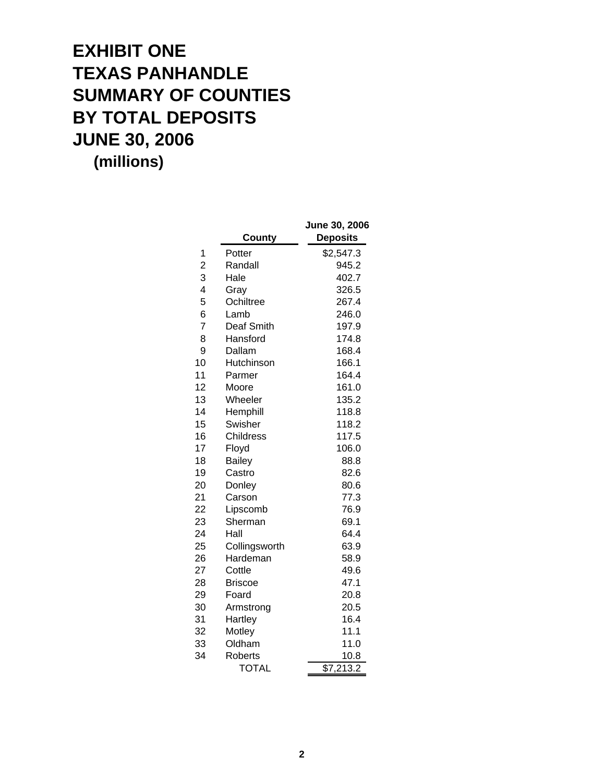#### **EXHIBIT ONE TEXAS PANHANDLE SUMMARY OF COUNTIES BY TOTAL DEPOSITS JUNE 30, 2006 (millions)**

**June 30, 2006 County Deposits** 1 Potter \$2,547.3 Randall 945.2 2 3 Hale 402.7 Gray 326.5 4 Ochiltree 267.4 5 Lamb 246.0 6 7 Deaf Smith 197.9 8 Hansford 174.8 Dallam 168.4 9 10 Hutchinson 166.1 11 Parmer 164.4 12 Moore 161.0 13 Wheeler 135.2 14 Hemphill 118.8 15 Swisher 118.2 16 Childress 117.5 17 Floyd 106.0 18 Bailey 88.8 19 Castro 82.6 Donley 80.6 20 Carson 77.3 21 Lipscomb 76.9 22 23 Sherman 69.1 24 Hall 64.4 Collingsworth 63.9 25 Hardeman 58.9 26 27 Cottle 49.6 Briscoe 47.1 28 Foard 20.8 29 Armstrong 20.5 30 31 Hartley 16.4 32 Motley 11.1 Oldham 11.0 33 Roberts 10.8 34 TOTAL \$7,213.2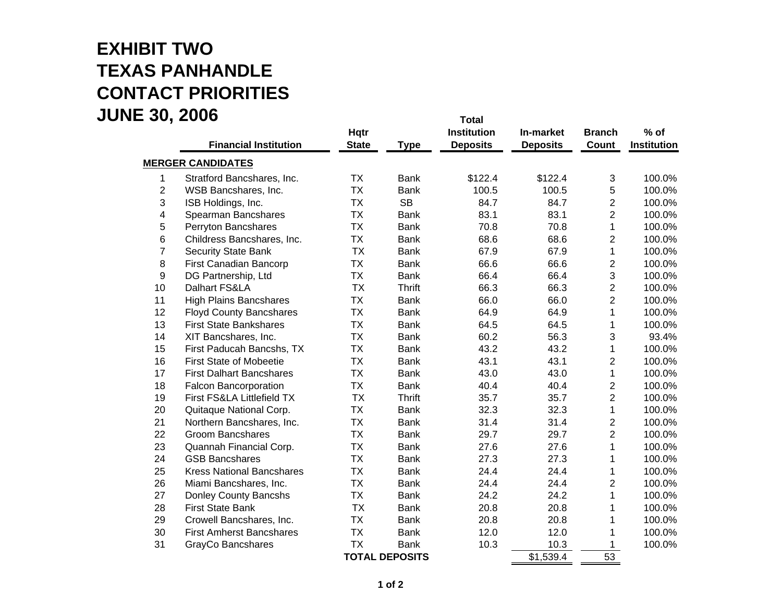#### **EXHIBIT TWO TEXAS PANHANDLE CONTACT PRIORITIES JUNE 30, 2006 Total**

|                         | <b>Financial Institution</b>     | <b>Hqtr</b><br><b>State</b> | <b>Type</b>           | ι νιαι<br><b>Institution</b><br><b>Deposits</b> | In-market<br><b>Deposits</b> | <b>Branch</b><br>Count  | $%$ of<br>Institution |
|-------------------------|----------------------------------|-----------------------------|-----------------------|-------------------------------------------------|------------------------------|-------------------------|-----------------------|
|                         | <b>MERGER CANDIDATES</b>         |                             |                       |                                                 |                              |                         |                       |
| 1                       | Stratford Bancshares, Inc.       | <b>TX</b>                   | <b>Bank</b>           | \$122.4                                         | \$122.4                      | 3                       | 100.0%                |
| $\overline{2}$          | WSB Bancshares, Inc.             | <b>TX</b>                   | <b>Bank</b>           | 100.5                                           | 100.5                        | 5                       | 100.0%                |
| 3                       | ISB Holdings, Inc.               | <b>TX</b>                   | <b>SB</b>             | 84.7                                            | 84.7                         | $\overline{\mathbf{c}}$ | 100.0%                |
| $\overline{\mathbf{4}}$ | Spearman Bancshares              | <b>TX</b>                   | <b>Bank</b>           | 83.1                                            | 83.1                         | $\overline{2}$          | 100.0%                |
| 5                       | Perryton Bancshares              | <b>TX</b>                   | <b>Bank</b>           | 70.8                                            | 70.8                         | 1                       | 100.0%                |
| 6                       | Childress Bancshares, Inc.       | <b>TX</b>                   | <b>Bank</b>           | 68.6                                            | 68.6                         | $\overline{2}$          | 100.0%                |
| $\overline{7}$          | <b>Security State Bank</b>       | <b>TX</b>                   | <b>Bank</b>           | 67.9                                            | 67.9                         | 1                       | 100.0%                |
| 8                       | First Canadian Bancorp           | <b>TX</b>                   | <b>Bank</b>           | 66.6                                            | 66.6                         | $\overline{c}$          | 100.0%                |
| 9                       | DG Partnership, Ltd              | <b>TX</b>                   | <b>Bank</b>           | 66.4                                            | 66.4                         | 3                       | 100.0%                |
| 10                      | Dalhart FS&LA                    | <b>TX</b>                   | <b>Thrift</b>         | 66.3                                            | 66.3                         | $\overline{c}$          | 100.0%                |
| 11                      | <b>High Plains Bancshares</b>    | <b>TX</b>                   | Bank                  | 66.0                                            | 66.0                         | $\overline{2}$          | 100.0%                |
| 12                      | <b>Floyd County Bancshares</b>   | <b>TX</b>                   | <b>Bank</b>           | 64.9                                            | 64.9                         | 1                       | 100.0%                |
| 13                      | <b>First State Bankshares</b>    | <b>TX</b>                   | <b>Bank</b>           | 64.5                                            | 64.5                         | 1                       | 100.0%                |
| 14                      | XIT Bancshares, Inc.             | <b>TX</b>                   | <b>Bank</b>           | 60.2                                            | 56.3                         | 3                       | 93.4%                 |
| 15                      | First Paducah Bancshs, TX        | <b>TX</b>                   | <b>Bank</b>           | 43.2                                            | 43.2                         | 1                       | 100.0%                |
| 16                      | <b>First State of Mobeetie</b>   | <b>TX</b>                   | <b>Bank</b>           | 43.1                                            | 43.1                         | $\overline{\mathbf{c}}$ | 100.0%                |
| 17                      | <b>First Dalhart Bancshares</b>  | <b>TX</b>                   | <b>Bank</b>           | 43.0                                            | 43.0                         | 1                       | 100.0%                |
| 18                      | <b>Falcon Bancorporation</b>     | <b>TX</b>                   | <b>Bank</b>           | 40.4                                            | 40.4                         | $\overline{c}$          | 100.0%                |
| 19                      | First FS&LA Littlefield TX       | <b>TX</b>                   | <b>Thrift</b>         | 35.7                                            | 35.7                         | $\overline{c}$          | 100.0%                |
| 20                      | Quitaque National Corp.          | <b>TX</b>                   | <b>Bank</b>           | 32.3                                            | 32.3                         | 1                       | 100.0%                |
| 21                      | Northern Bancshares, Inc.        | <b>TX</b>                   | <b>Bank</b>           | 31.4                                            | 31.4                         | $\overline{c}$          | 100.0%                |
| 22                      | <b>Groom Bancshares</b>          | <b>TX</b>                   | <b>Bank</b>           | 29.7                                            | 29.7                         | $\overline{2}$          | 100.0%                |
| 23                      | Quannah Financial Corp.          | <b>TX</b>                   | <b>Bank</b>           | 27.6                                            | 27.6                         | 1                       | 100.0%                |
| 24                      | <b>GSB Bancshares</b>            | <b>TX</b>                   | <b>Bank</b>           | 27.3                                            | 27.3                         | 1                       | 100.0%                |
| 25                      | <b>Kress National Bancshares</b> | <b>TX</b>                   | <b>Bank</b>           | 24.4                                            | 24.4                         | 1                       | 100.0%                |
| 26                      | Miami Bancshares, Inc.           | <b>TX</b>                   | <b>Bank</b>           | 24.4                                            | 24.4                         | $\overline{2}$          | 100.0%                |
| 27                      | Donley County Bancshs            | <b>TX</b>                   | <b>Bank</b>           | 24.2                                            | 24.2                         | 1                       | 100.0%                |
| 28                      | <b>First State Bank</b>          | <b>TX</b>                   | <b>Bank</b>           | 20.8                                            | 20.8                         | 1                       | 100.0%                |
| 29                      | Crowell Bancshares, Inc.         | <b>TX</b>                   | <b>Bank</b>           | 20.8                                            | 20.8                         | 1                       | 100.0%                |
| 30                      | <b>First Amherst Bancshares</b>  | <b>TX</b>                   | <b>Bank</b>           | 12.0                                            | 12.0                         | 1                       | 100.0%                |
| 31                      | GrayCo Bancshares                | <b>TX</b>                   | <b>Bank</b>           | 10.3                                            | 10.3                         | 1                       | 100.0%                |
|                         |                                  |                             | <b>TOTAL DEPOSITS</b> |                                                 | \$1,539.4                    | 53                      |                       |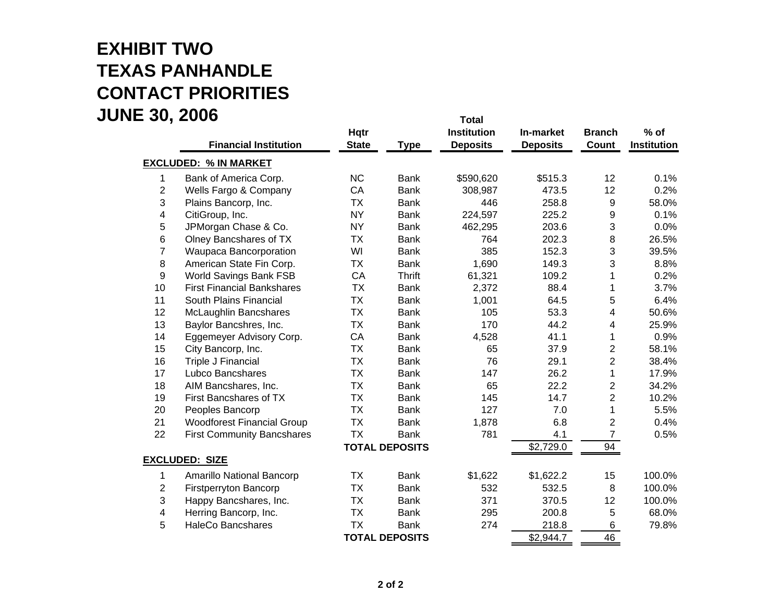#### **EXHIBIT TWO TEXAS PANHANDLE CONTACT PRIORITIES JUNE 30, 2006 Total**

|                         |                                   |              |                       | ι νιαι             |                 |                |             |
|-------------------------|-----------------------------------|--------------|-----------------------|--------------------|-----------------|----------------|-------------|
|                         |                                   | <b>Hqtr</b>  |                       | <b>Institution</b> | In-market       | <b>Branch</b>  | $%$ of      |
|                         | <b>Financial Institution</b>      | <b>State</b> | <b>Type</b>           | <b>Deposits</b>    | <b>Deposits</b> | <b>Count</b>   | Institution |
|                         | <b>EXCLUDED: % IN MARKET</b>      |              |                       |                    |                 |                |             |
| 1                       | Bank of America Corp.             | NC           | <b>Bank</b>           | \$590,620          | \$515.3         | 12             | 0.1%        |
| $\overline{2}$          | Wells Fargo & Company             | CA           | <b>Bank</b>           | 308,987            | 473.5           | 12             | 0.2%        |
| 3                       | Plains Bancorp, Inc.              | <b>TX</b>    | <b>Bank</b>           | 446                | 258.8           | 9              | 58.0%       |
| $\overline{\mathbf{4}}$ | CitiGroup, Inc.                   | <b>NY</b>    | <b>Bank</b>           | 224,597            | 225.2           | 9              | 0.1%        |
| 5                       | JPMorgan Chase & Co.              | <b>NY</b>    | <b>Bank</b>           | 462,295            | 203.6           | 3              | 0.0%        |
| 6                       | Olney Bancshares of TX            | <b>TX</b>    | <b>Bank</b>           | 764                | 202.3           | $\bf 8$        | 26.5%       |
| $\overline{7}$          | Waupaca Bancorporation            | WI           | <b>Bank</b>           | 385                | 152.3           | 3              | 39.5%       |
| 8                       | American State Fin Corp.          | <b>TX</b>    | <b>Bank</b>           | 1,690              | 149.3           | 3              | 8.8%        |
| 9                       | World Savings Bank FSB            | CA           | <b>Thrift</b>         | 61,321             | 109.2           | 1              | 0.2%        |
| 10                      | <b>First Financial Bankshares</b> | <b>TX</b>    | <b>Bank</b>           | 2,372              | 88.4            | 1              | 3.7%        |
| 11                      | South Plains Financial            | <b>TX</b>    | <b>Bank</b>           | 1,001              | 64.5            | 5              | 6.4%        |
| 12                      | <b>McLaughlin Bancshares</b>      | <b>TX</b>    | <b>Bank</b>           | 105                | 53.3            | 4              | 50.6%       |
| 13                      | Baylor Bancshres, Inc.            | <b>TX</b>    | <b>Bank</b>           | 170                | 44.2            | 4              | 25.9%       |
| 14                      | Eggemeyer Advisory Corp.          | CA           | <b>Bank</b>           | 4,528              | 41.1            | 1              | 0.9%        |
| 15                      | City Bancorp, Inc.                | <b>TX</b>    | <b>Bank</b>           | 65                 | 37.9            | $\overline{2}$ | 58.1%       |
| 16                      | Triple J Financial                | <b>TX</b>    | <b>Bank</b>           | 76                 | 29.1            | $\overline{2}$ | 38.4%       |
| 17                      | Lubco Bancshares                  | <b>TX</b>    | <b>Bank</b>           | 147                | 26.2            | 1              | 17.9%       |
| 18                      | AIM Bancshares, Inc.              | <b>TX</b>    | <b>Bank</b>           | 65                 | 22.2            | $\overline{c}$ | 34.2%       |
| 19                      | First Bancshares of TX            | <b>TX</b>    | <b>Bank</b>           | 145                | 14.7            | $\overline{c}$ | 10.2%       |
| 20                      | Peoples Bancorp                   | <b>TX</b>    | <b>Bank</b>           | 127                | 7.0             | 1              | 5.5%        |
| 21                      | <b>Woodforest Financial Group</b> | <b>TX</b>    | <b>Bank</b>           | 1,878              | 6.8             | $\overline{2}$ | 0.4%        |
| 22                      | <b>First Community Bancshares</b> | <b>TX</b>    | <b>Bank</b>           | 781                | 4.1             | $\overline{7}$ | 0.5%        |
|                         |                                   |              | <b>TOTAL DEPOSITS</b> |                    | \$2,729.0       | 94             |             |
|                         | <b>EXCLUDED: SIZE</b>             |              |                       |                    |                 |                |             |
| 1                       | Amarillo National Bancorp         | <b>TX</b>    | <b>Bank</b>           | \$1,622            | \$1,622.2       | 15             | 100.0%      |
| $\overline{2}$          | <b>Firstperryton Bancorp</b>      | <b>TX</b>    | <b>Bank</b>           | 532                | 532.5           | 8              | 100.0%      |
| 3                       | Happy Bancshares, Inc.            | <b>TX</b>    | <b>Bank</b>           | 371                | 370.5           | 12             | 100.0%      |
| $\overline{\mathbf{4}}$ | Herring Bancorp, Inc.             | <b>TX</b>    | <b>Bank</b>           | 295                | 200.8           | 5              | 68.0%       |
| 5                       | <b>HaleCo Bancshares</b>          | <b>TX</b>    | <b>Bank</b>           | 274                | 218.8           | 6              | 79.8%       |
|                         |                                   |              | <b>TOTAL DEPOSITS</b> |                    | \$2,944.7       | 46             |             |
|                         |                                   |              |                       |                    |                 |                |             |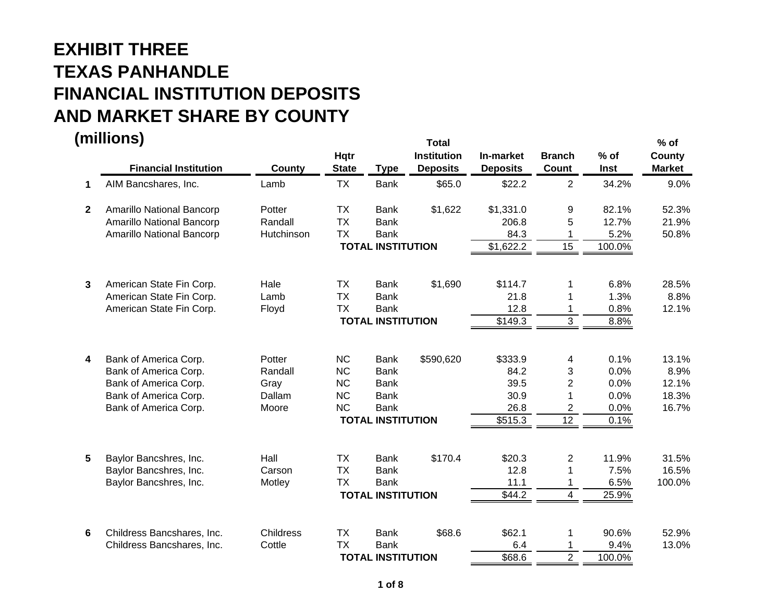|              | (millions)                   |               |              |                          | <b>Total</b>       |                 |                         |        | $%$ of        |
|--------------|------------------------------|---------------|--------------|--------------------------|--------------------|-----------------|-------------------------|--------|---------------|
|              |                              |               | <b>Hqtr</b>  |                          | <b>Institution</b> | In-market       | <b>Branch</b>           | $%$ of | County        |
|              | <b>Financial Institution</b> | <b>County</b> | <b>State</b> | <b>Type</b>              | <b>Deposits</b>    | <b>Deposits</b> | Count                   | Inst   | <b>Market</b> |
| 1            | AIM Bancshares, Inc.         | Lamb          | <b>TX</b>    | <b>Bank</b>              | \$65.0             | \$22.2          | $\overline{2}$          | 34.2%  | 9.0%          |
| $\mathbf{2}$ | Amarillo National Bancorp    | Potter        | <b>TX</b>    | <b>Bank</b>              | \$1,622            | \$1,331.0       | 9                       | 82.1%  | 52.3%         |
|              | Amarillo National Bancorp    | Randall       | <b>TX</b>    | <b>Bank</b>              |                    | 206.8           | 5                       | 12.7%  | 21.9%         |
|              | Amarillo National Bancorp    | Hutchinson    | <b>TX</b>    | <b>Bank</b>              |                    | 84.3            |                         | 5.2%   | 50.8%         |
|              |                              |               |              | <b>TOTAL INSTITUTION</b> |                    | \$1,622.2       | 15                      | 100.0% |               |
| 3            | American State Fin Corp.     | Hale          | <b>TX</b>    | <b>Bank</b>              | \$1,690            | \$114.7         | 1                       | 6.8%   | 28.5%         |
|              | American State Fin Corp.     | Lamb          | <b>TX</b>    | <b>Bank</b>              |                    | 21.8            |                         | 1.3%   | 8.8%          |
|              | American State Fin Corp.     |               | <b>TX</b>    | <b>Bank</b>              |                    | 12.8            | 1                       | 0.8%   | 12.1%         |
|              |                              | Floyd         |              | <b>TOTAL INSTITUTION</b> |                    |                 | 3                       |        |               |
|              |                              |               |              |                          |                    | \$149.3         |                         | 8.8%   |               |
| 4            | Bank of America Corp.        | Potter        | <b>NC</b>    | <b>Bank</b>              | \$590,620          | \$333.9         | 4                       | 0.1%   | 13.1%         |
|              | Bank of America Corp.        | Randall       | <b>NC</b>    | <b>Bank</b>              |                    | 84.2            | 3                       | 0.0%   | 8.9%          |
|              | Bank of America Corp.        | Gray          | <b>NC</b>    | <b>Bank</b>              |                    | 39.5            | $\overline{2}$          | 0.0%   | 12.1%         |
|              | Bank of America Corp.        | Dallam        | <b>NC</b>    | <b>Bank</b>              |                    | 30.9            |                         | 0.0%   | 18.3%         |
|              | Bank of America Corp.        | Moore         | <b>NC</b>    | <b>Bank</b>              |                    | 26.8            | $\overline{2}$          | 0.0%   | 16.7%         |
|              |                              |               |              | <b>TOTAL INSTITUTION</b> |                    | \$515.3         | 12                      | 0.1%   |               |
| 5            | Baylor Bancshres, Inc.       | Hall          | <b>TX</b>    | <b>Bank</b>              | \$170.4            | \$20.3          | $\overline{c}$          | 11.9%  | 31.5%         |
|              | Baylor Bancshres, Inc.       | Carson        | <b>TX</b>    | <b>Bank</b>              |                    | 12.8            | 1                       | 7.5%   | 16.5%         |
|              | Baylor Bancshres, Inc.       | Motley        | <b>TX</b>    | <b>Bank</b>              |                    | 11.1            | 1                       | 6.5%   | 100.0%        |
|              |                              |               |              | <b>TOTAL INSTITUTION</b> |                    | \$44.2          | $\overline{\mathbf{4}}$ | 25.9%  |               |
|              |                              |               |              |                          |                    |                 |                         |        |               |
| 6            | Childress Bancshares, Inc.   | Childress     | <b>TX</b>    | <b>Bank</b>              | \$68.6             | \$62.1          | 1                       | 90.6%  | 52.9%         |
|              | Childress Bancshares, Inc.   | Cottle        | <b>TX</b>    | <b>Bank</b>              |                    | 6.4             |                         | 9.4%   | 13.0%         |
|              |                              |               |              | <b>TOTAL INSTITUTION</b> |                    | \$68.6          | $\overline{c}$          | 100.0% |               |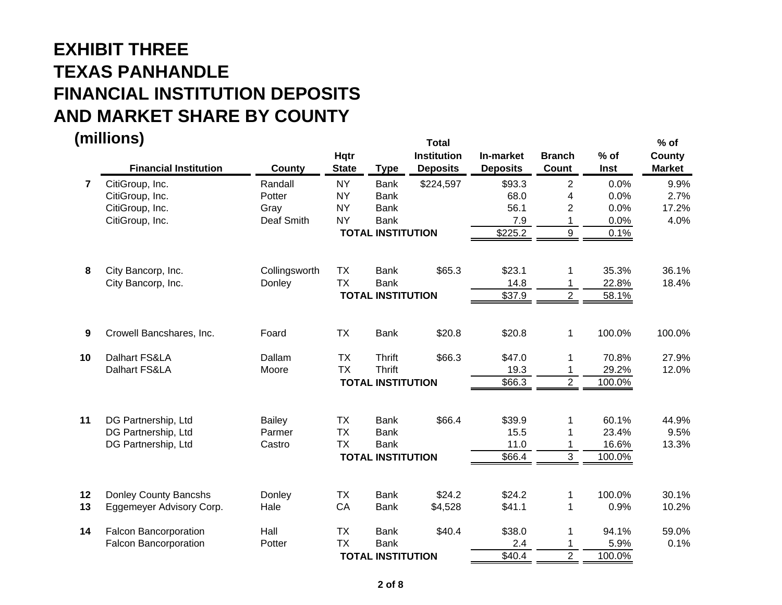**(millions) Total % of Hqtr Institution In-market Branch % of County Financial Institution County State Type Deposits Deposits Count Inst Market 77** CitiGroup, Inc. Randall NY Bank \$224,597 \$93.3 2 0.0% 9.9% CitiGroup, Inc. Potter NY Bank 68.0 4 0.0% 2.7% CitiGroup, Inc. Gray NY Bank 56.1 2 0.0% 17.2% CitiGroup, Inc. Deaf Smith NY Bank 7.9 1 0.0% 4.0%  **TOTAL INSTITUTION** $\frac{$225.2}{9}$  0.1% **8**City Bancorp, Inc. Collingsworth TX Bank \$65.3 \$23.1 1 35.3% 36.1% City Bancorp, Inc. City Bancorp, Inc. City Bancorp, Inc. 22.8% 18.4%  **TOTAL INSTITUTION** $\frac{$37.9}{2}$  58.1% **9** Crowell Bancshares, Inc. Foard TX Bank \$20.8 \$20.8 1 100.0% 100.0% **10** Dalhart FS&LA Dallam TX Thrift \$66.3 \$47.0 1 70.8% 27.9% Dalhart FS&LA **Moore** TX Thrift 19.3 1 29.2% 12.0%  **TOTAL INSTITUTION** \$66.3 2 100.0% **11**DG Partnership, Ltd **Bailey** TX Bank \$66.4 \$39.9 1 60.1% 44.9% DG Partnership, Ltd Parmer TX Bank 15.5 1 23.4% 9.5% DG Partnership, Ltd Castro TX Bank 11.0 1 16.6% 13.3%  **TOTAL INSTITUTION** $$66.4$  3 100.0% **12**Donley County Bancshs Donley TX Bank \$24.2 \$24.2 1 100.0% 30.1% **13**Eggemeyer Advisory Corp. 
and Hale  $CA$  Bank  $$4,528$   $$41.1$   $1$  0.9%  $10.2\%$ **14**Falcon Bancorporation 
Hall 
TX Bank  $$40.4$   $$38.0$  1  $94.1\%$   $59.0\%$ Falcon Bancorporation **Potter** TX Bank  $\frac{2.4}{100.0\%}$  0.1%  $\overline{2}$  100.0%

 **TOTAL INSTITUTION**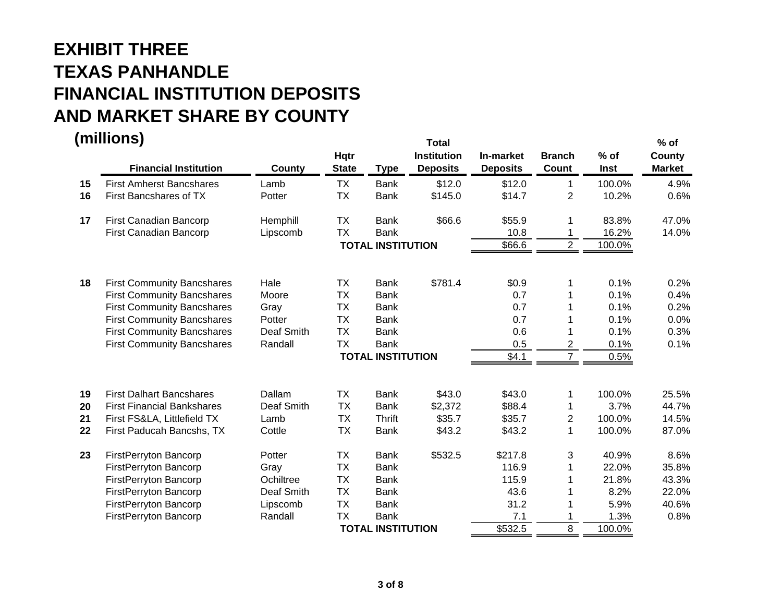|    | (millions)<br><b>Financial Institution</b> | County     | Hqtr<br><b>State</b> | <b>Type</b>              | <b>Total</b><br><b>Institution</b><br><b>Deposits</b> | In-market<br><b>Deposits</b> | <b>Branch</b><br>Count | $%$ of<br>Inst | $%$ of<br>County<br><b>Market</b> |
|----|--------------------------------------------|------------|----------------------|--------------------------|-------------------------------------------------------|------------------------------|------------------------|----------------|-----------------------------------|
| 15 | <b>First Amherst Bancshares</b>            | Lamb       | <b>TX</b>            | <b>Bank</b>              | \$12.0                                                | \$12.0                       | $\mathbf 1$            | 100.0%         | 4.9%                              |
| 16 | First Bancshares of TX                     | Potter     | <b>TX</b>            | <b>Bank</b>              | \$145.0                                               | \$14.7                       | $\overline{2}$         | 10.2%          | 0.6%                              |
| 17 | First Canadian Bancorp                     | Hemphill   | <b>TX</b>            | <b>Bank</b>              | \$66.6                                                | \$55.9                       | 1                      | 83.8%          | 47.0%                             |
|    | First Canadian Bancorp                     | Lipscomb   | <b>TX</b>            | <b>Bank</b>              |                                                       | 10.8                         | 1                      | 16.2%          | 14.0%                             |
|    |                                            |            |                      | <b>TOTAL INSTITUTION</b> |                                                       | \$66.6                       | $\overline{2}$         | 100.0%         |                                   |
| 18 | <b>First Community Bancshares</b>          | Hale       | <b>TX</b>            | <b>Bank</b>              | \$781.4                                               | \$0.9                        | 1                      | 0.1%           | 0.2%                              |
|    | <b>First Community Bancshares</b>          | Moore      | <b>TX</b>            | <b>Bank</b>              |                                                       | 0.7                          | 1                      | 0.1%           | 0.4%                              |
|    | <b>First Community Bancshares</b>          | Gray       | <b>TX</b>            | <b>Bank</b>              |                                                       | 0.7                          |                        | 0.1%           | 0.2%                              |
|    | <b>First Community Bancshares</b>          | Potter     | <b>TX</b>            | <b>Bank</b>              |                                                       | 0.7                          |                        | 0.1%           | 0.0%                              |
|    | <b>First Community Bancshares</b>          | Deaf Smith | <b>TX</b>            | <b>Bank</b>              |                                                       | 0.6                          |                        | 0.1%           | 0.3%                              |
|    | <b>First Community Bancshares</b>          | Randall    | <b>TX</b>            | <b>Bank</b>              |                                                       | 0.5                          | $\overline{c}$         | 0.1%           | 0.1%                              |
|    |                                            |            |                      | <b>TOTAL INSTITUTION</b> |                                                       | \$4.1                        | $\overline{7}$         | 0.5%           |                                   |
| 19 | <b>First Dalhart Bancshares</b>            | Dallam     | <b>TX</b>            | <b>Bank</b>              | \$43.0                                                | \$43.0                       | 1                      | 100.0%         | 25.5%                             |
| 20 | <b>First Financial Bankshares</b>          | Deaf Smith | <b>TX</b>            | <b>Bank</b>              | \$2,372                                               | \$88.4                       | 1                      | 3.7%           | 44.7%                             |
| 21 | First FS&LA, Littlefield TX                | Lamb       | <b>TX</b>            | <b>Thrift</b>            | \$35.7                                                | \$35.7                       | $\overline{c}$         | 100.0%         | 14.5%                             |
| 22 | First Paducah Bancshs, TX                  | Cottle     | <b>TX</b>            | <b>Bank</b>              | \$43.2                                                | \$43.2                       | 1                      | 100.0%         | 87.0%                             |
| 23 | FirstPerryton Bancorp                      | Potter     | <b>TX</b>            | <b>Bank</b>              | \$532.5                                               | \$217.8                      | 3                      | 40.9%          | 8.6%                              |
|    | FirstPerryton Bancorp                      | Gray       | <b>TX</b>            | <b>Bank</b>              |                                                       | 116.9                        | 1                      | 22.0%          | 35.8%                             |
|    | FirstPerryton Bancorp                      | Ochiltree  | <b>TX</b>            | <b>Bank</b>              |                                                       | 115.9                        | 1                      | 21.8%          | 43.3%                             |
|    | FirstPerryton Bancorp                      | Deaf Smith | <b>TX</b>            | <b>Bank</b>              |                                                       | 43.6                         | 1                      | 8.2%           | 22.0%                             |
|    | FirstPerryton Bancorp                      | Lipscomb   | <b>TX</b>            | <b>Bank</b>              |                                                       | 31.2                         | 1                      | 5.9%           | 40.6%                             |
|    | FirstPerryton Bancorp                      | Randall    | <b>TX</b>            | <b>Bank</b>              |                                                       | 7.1                          | 1                      | 1.3%           | 0.8%                              |
|    |                                            |            |                      | <b>TOTAL INSTITUTION</b> |                                                       | \$532.5                      | 8                      | 100.0%         |                                   |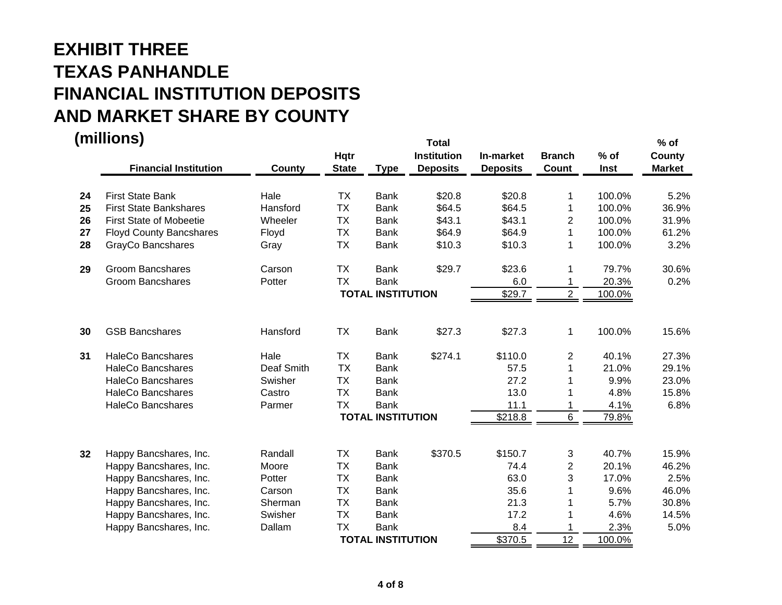|          | (millions)<br><b>Financial Institution</b>               | County           | Hqtr<br><b>State</b>   | <b>Type</b>                | <b>Total</b><br><b>Institution</b><br><b>Deposits</b> | In-market<br><b>Deposits</b> | <b>Branch</b><br>Count | $%$ of<br>Inst   | $%$ of<br>County<br><b>Market</b> |
|----------|----------------------------------------------------------|------------------|------------------------|----------------------------|-------------------------------------------------------|------------------------------|------------------------|------------------|-----------------------------------|
|          |                                                          |                  |                        |                            |                                                       |                              |                        |                  |                                   |
| 24<br>25 | <b>First State Bank</b><br><b>First State Bankshares</b> | Hale<br>Hansford | <b>TX</b>              | <b>Bank</b>                | \$20.8<br>\$64.5                                      | \$20.8                       | 1                      | 100.0%           | 5.2%                              |
|          |                                                          |                  | <b>TX</b><br><b>TX</b> | <b>Bank</b>                |                                                       | \$64.5                       | 1                      | 100.0%           | 36.9%<br>31.9%                    |
| 26       | <b>First State of Mobeetie</b>                           | Wheeler          | <b>TX</b>              | <b>Bank</b>                | \$43.1<br>\$64.9                                      | \$43.1<br>\$64.9             | $\overline{2}$<br>1    | 100.0%<br>100.0% | 61.2%                             |
| 27<br>28 | <b>Floyd County Bancshares</b><br>GrayCo Bancshares      | Floyd<br>Gray    | <b>TX</b>              | <b>Bank</b><br><b>Bank</b> | \$10.3                                                | \$10.3                       | 1                      | 100.0%           | 3.2%                              |
| 29       | <b>Groom Bancshares</b>                                  | Carson           | <b>TX</b>              | <b>Bank</b>                | \$29.7                                                | \$23.6                       | 1                      | 79.7%            | 30.6%                             |
|          | <b>Groom Bancshares</b>                                  | Potter           | <b>TX</b>              | <b>Bank</b>                |                                                       | 6.0                          | 1                      | 20.3%            | 0.2%                              |
|          |                                                          |                  |                        | <b>TOTAL INSTITUTION</b>   |                                                       | \$29.7                       | $\overline{c}$         | 100.0%           |                                   |
| 30       | <b>GSB Bancshares</b>                                    | Hansford         | <b>TX</b>              | <b>Bank</b>                | \$27.3                                                | \$27.3                       | 1                      | 100.0%           | 15.6%                             |
| 31       | <b>HaleCo Bancshares</b>                                 | Hale             | <b>TX</b>              | <b>Bank</b>                | \$274.1                                               | \$110.0                      | $\overline{c}$         | 40.1%            | 27.3%                             |
|          | <b>HaleCo Bancshares</b>                                 | Deaf Smith       | <b>TX</b>              | <b>Bank</b>                |                                                       | 57.5                         | 1                      | 21.0%            | 29.1%                             |
|          | <b>HaleCo Bancshares</b>                                 | Swisher          | <b>TX</b>              | <b>Bank</b>                |                                                       | 27.2                         |                        | 9.9%             | 23.0%                             |
|          | <b>HaleCo Bancshares</b>                                 | Castro           | <b>TX</b>              | <b>Bank</b>                |                                                       | 13.0                         |                        | 4.8%             | 15.8%                             |
|          | <b>HaleCo Bancshares</b>                                 | Parmer           | <b>TX</b>              | <b>Bank</b>                |                                                       | 11.1                         | 1                      | 4.1%             | 6.8%                              |
|          |                                                          |                  |                        | <b>TOTAL INSTITUTION</b>   |                                                       | \$218.8                      | 6                      | 79.8%            |                                   |
| 32       | Happy Bancshares, Inc.                                   | Randall          | <b>TX</b>              | <b>Bank</b>                | \$370.5                                               | \$150.7                      | 3                      | 40.7%            | 15.9%                             |
|          | Happy Bancshares, Inc.                                   | Moore            | <b>TX</b>              | <b>Bank</b>                |                                                       | 74.4                         | $\overline{c}$         | 20.1%            | 46.2%                             |
|          | Happy Bancshares, Inc.                                   | Potter           | <b>TX</b>              | <b>Bank</b>                |                                                       | 63.0                         | 3                      | 17.0%            | 2.5%                              |
|          | Happy Bancshares, Inc.                                   | Carson           | <b>TX</b>              | <b>Bank</b>                |                                                       | 35.6                         |                        | 9.6%             | 46.0%                             |
|          | Happy Bancshares, Inc.                                   | Sherman          | <b>TX</b>              | <b>Bank</b>                |                                                       | 21.3                         |                        | 5.7%             | 30.8%                             |
|          | Happy Bancshares, Inc.                                   | Swisher          | <b>TX</b>              | <b>Bank</b>                |                                                       | 17.2                         |                        | 4.6%             | 14.5%                             |
|          | Happy Bancshares, Inc.                                   | Dallam           | <b>TX</b>              | <b>Bank</b>                |                                                       | 8.4                          |                        | 2.3%             | 5.0%                              |
|          |                                                          |                  |                        | <b>TOTAL INSTITUTION</b>   |                                                       | \$370.5                      | 12                     | 100.0%           |                                   |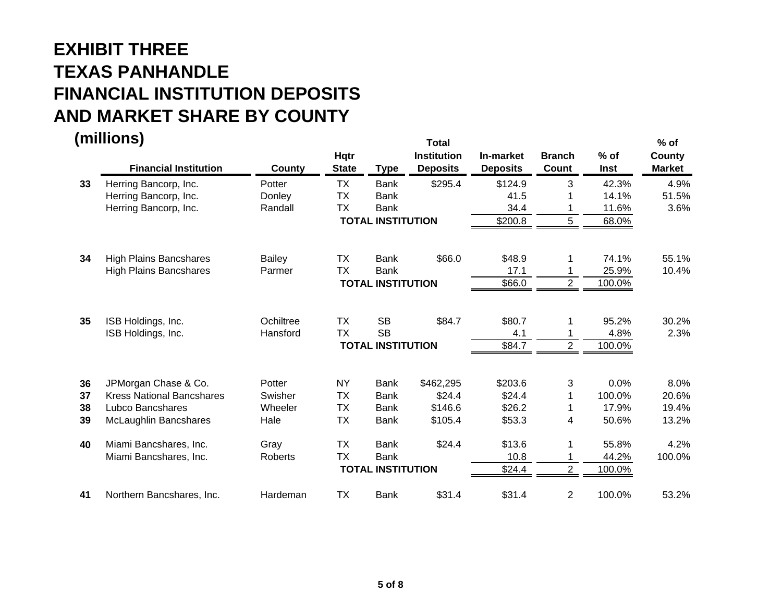**(millions) Total % of Hqtr Institution In-market Branch % of County Financial Institution County State Type Deposits Deposits Count Inst Market 33** Herring Bancorp, Inc. Potter TX Bank \$295.4 \$124.9 3 42.3% 4.9% Herring Bancorp, Inc. Case Conley TX Bank 41.5 1 14.1% 51.5% Herring Bancorp, Inc. **Example 34.4** 1 11.6% 3.6%  **TOTAL INSTITUTION** \$200.8 5 68.0% **34**High Plains Bancshares and Bailey TX Bank \$66.0 \$48.9 1 74.1% 55.1% High Plains Bancshares **Parmer** TX Bank 17.1 1 25.9% 10.4%  **TOTAL INSTITUTION** $\frac{$66.0}{$66.0}$  2 100.0% **35** ISB Holdings, Inc. Ochiltree TX SB \$84.7 \$80.7 1 95.2% 30.2% ISB Holdings, Inc. **Example 3** Hansford TX SB 4.1 4.8% 2.3%  **TOTAL INSTITUTION** $\frac{$84.7}{2}$  100.0% **36** JPMorgan Chase & Co. Potter NY Bank \$462,295 \$203.6 3 0.0% 8.0% **37**Kress National Bancshares Swisher TX Bank \$24.4 \$24.4 1 100.0% 20.6% **38**Lubco Bancshares **Miss Wheeler** TX Bank \$146.6 \$26.2 1 17.9% 19.4% **39** McLaughlin Bancshares Hale TX Bank \$105.4 \$53.3 4 50.6% 13.2% **40** Miami Bancshares, Inc. Gray TX Bank \$24.4 \$13.6 1 55.8% 4.2% Miami Bancshares, Inc. Roberts TX Bank 10.8 1 44.2% 100.0%  **TOTAL INSTITUTION** $$24.4$   $2$   $100.0\%$ **41**Northern Bancshares, Inc. Hardeman TX Bank \$31.4 \$31.4 2 100.0% 53.2%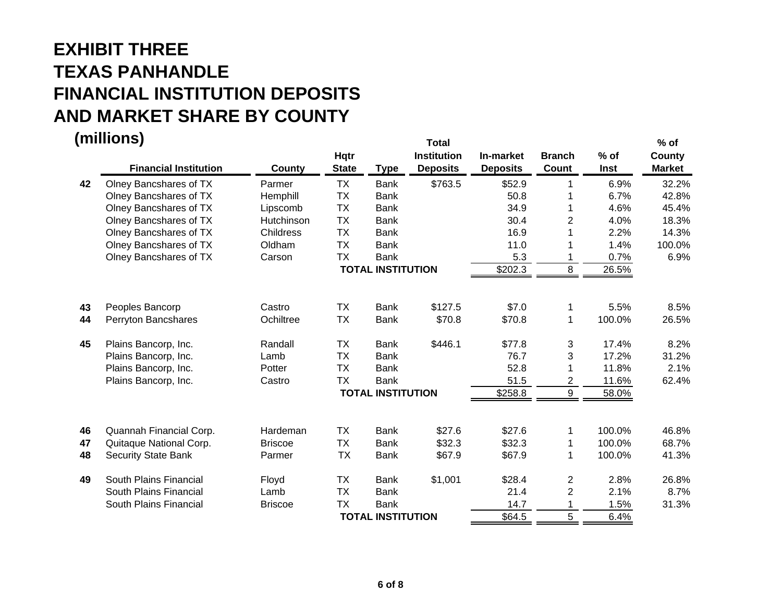|          | (millions)<br><b>Financial Institution</b> | County         | <b>Hqtr</b><br><b>State</b> | <b>Type</b>              | <b>Total</b><br><b>Institution</b><br><b>Deposits</b> | In-market<br><b>Deposits</b> | <b>Branch</b><br>Count | $%$ of<br>Inst | $%$ of<br>County<br><b>Market</b> |
|----------|--------------------------------------------|----------------|-----------------------------|--------------------------|-------------------------------------------------------|------------------------------|------------------------|----------------|-----------------------------------|
| 42       | Olney Bancshares of TX                     | Parmer         | <b>TX</b>                   | <b>Bank</b>              | \$763.5                                               | \$52.9                       | 1                      | 6.9%           | 32.2%                             |
|          | Olney Bancshares of TX                     | Hemphill       | <b>TX</b>                   | <b>Bank</b>              |                                                       | 50.8                         | 1                      | 6.7%           | 42.8%                             |
|          | Olney Bancshares of TX                     | Lipscomb       | <b>TX</b>                   | <b>Bank</b>              |                                                       | 34.9                         |                        | 4.6%           | 45.4%                             |
|          | Olney Bancshares of TX                     | Hutchinson     | <b>TX</b>                   | <b>Bank</b>              |                                                       | 30.4                         | $\overline{2}$         | 4.0%           | 18.3%                             |
|          | Olney Bancshares of TX                     | Childress      | <b>TX</b>                   | <b>Bank</b>              |                                                       | 16.9                         |                        | 2.2%           | 14.3%                             |
|          | Olney Bancshares of TX                     | Oldham         | <b>TX</b>                   | <b>Bank</b>              |                                                       | 11.0                         |                        | 1.4%           | 100.0%                            |
|          | Olney Bancshares of TX                     | Carson         | <b>TX</b>                   | <b>Bank</b>              |                                                       | 5.3                          |                        | 0.7%           | 6.9%                              |
|          |                                            |                |                             | <b>TOTAL INSTITUTION</b> |                                                       | \$202.3                      | 8                      | 26.5%          |                                   |
| 43       | Peoples Bancorp                            | Castro         | <b>TX</b>                   | <b>Bank</b>              | \$127.5                                               | \$7.0                        | 1                      | 5.5%           | 8.5%                              |
| 44       | Perryton Bancshares                        | Ochiltree      | <b>TX</b>                   | <b>Bank</b>              | \$70.8                                                | \$70.8                       | $\mathbf 1$            | 100.0%         | 26.5%                             |
| 45       | Plains Bancorp, Inc.                       | Randall        | <b>TX</b>                   | <b>Bank</b>              | \$446.1                                               | \$77.8                       | 3                      | 17.4%          | 8.2%                              |
|          | Plains Bancorp, Inc.                       | Lamb           | <b>TX</b>                   | <b>Bank</b>              |                                                       | 76.7                         | 3                      | 17.2%          | 31.2%                             |
|          | Plains Bancorp, Inc.                       | Potter         | <b>TX</b>                   | <b>Bank</b>              |                                                       | 52.8                         |                        | 11.8%          | 2.1%                              |
|          | Plains Bancorp, Inc.                       | Castro         | <b>TX</b>                   | <b>Bank</b>              |                                                       | 51.5                         | $\overline{c}$         | 11.6%          | 62.4%                             |
|          |                                            |                |                             | <b>TOTAL INSTITUTION</b> |                                                       | \$258.8                      | 9                      | 58.0%          |                                   |
| 46       | Quannah Financial Corp.                    | Hardeman       | <b>TX</b>                   | <b>Bank</b>              | \$27.6                                                | \$27.6                       | 1                      | 100.0%         | 46.8%                             |
|          | Quitaque National Corp.                    | <b>Briscoe</b> | <b>TX</b>                   | <b>Bank</b>              | \$32.3                                                | \$32.3                       |                        | 100.0%         | 68.7%                             |
| 47<br>48 | <b>Security State Bank</b>                 | Parmer         | <b>TX</b>                   | <b>Bank</b>              | \$67.9                                                | \$67.9                       | 1<br>1                 | 100.0%         | 41.3%                             |
|          |                                            |                |                             |                          |                                                       |                              |                        |                |                                   |
| 49       | South Plains Financial                     | Floyd          | <b>TX</b>                   | <b>Bank</b>              | \$1,001                                               | \$28.4                       | $\overline{c}$         | 2.8%           | 26.8%                             |
|          | South Plains Financial                     | Lamb           | <b>TX</b>                   | <b>Bank</b>              |                                                       | 21.4                         | $\overline{2}$         | 2.1%           | 8.7%                              |
|          | South Plains Financial                     | <b>Briscoe</b> | <b>TX</b>                   | <b>Bank</b>              |                                                       | 14.7                         | 1                      | 1.5%           | 31.3%                             |
|          |                                            |                |                             | <b>TOTAL INSTITUTION</b> |                                                       | \$64.5                       | 5                      | 6.4%           |                                   |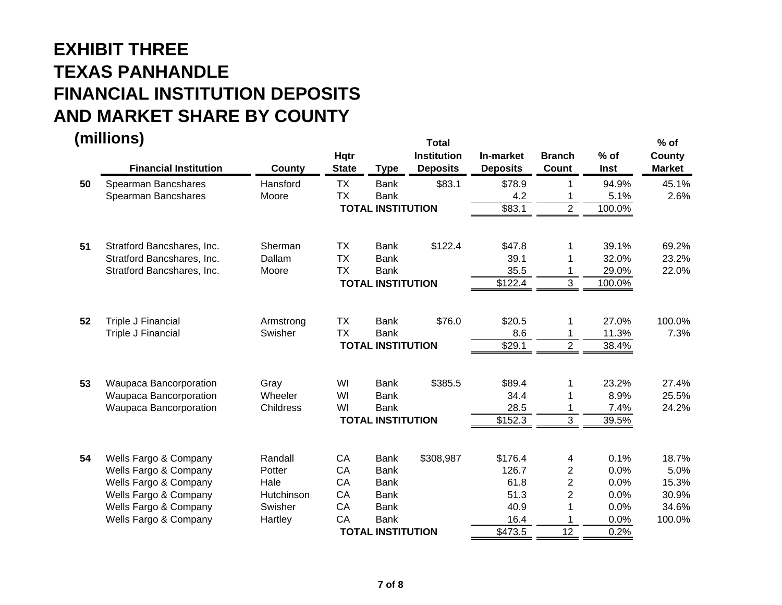|    | (millions)<br><b>Financial Institution</b> | County     | Hqtr<br><b>State</b> | <b>Type</b>              | <b>Total</b><br><b>Institution</b><br><b>Deposits</b> | In-market<br><b>Deposits</b> | <b>Branch</b><br>Count | $%$ of<br>Inst | $%$ of<br>County<br><b>Market</b> |
|----|--------------------------------------------|------------|----------------------|--------------------------|-------------------------------------------------------|------------------------------|------------------------|----------------|-----------------------------------|
| 50 | Spearman Bancshares                        | Hansford   | <b>TX</b>            | <b>Bank</b>              | \$83.1                                                | \$78.9                       |                        | 94.9%          | 45.1%                             |
|    | Spearman Bancshares                        | Moore      | <b>TX</b>            | <b>Bank</b>              |                                                       | 4.2                          |                        | 5.1%           | 2.6%                              |
|    |                                            |            |                      | <b>TOTAL INSTITUTION</b> |                                                       | \$83.1                       | $\overline{2}$         | 100.0%         |                                   |
| 51 | Stratford Bancshares, Inc.                 | Sherman    | <b>TX</b>            | <b>Bank</b>              | \$122.4                                               | \$47.8                       |                        | 39.1%          | 69.2%                             |
|    | Stratford Bancshares, Inc.                 | Dallam     | <b>TX</b>            | <b>Bank</b>              |                                                       | 39.1                         |                        | 32.0%          | 23.2%                             |
|    | Stratford Bancshares, Inc.                 | Moore      | <b>TX</b>            | <b>Bank</b>              |                                                       | 35.5                         |                        | 29.0%          | 22.0%                             |
|    |                                            |            |                      | <b>TOTAL INSTITUTION</b> |                                                       | \$122.4                      | 3                      | 100.0%         |                                   |
| 52 | Triple J Financial                         | Armstrong  | <b>TX</b>            | <b>Bank</b>              | \$76.0                                                | \$20.5                       |                        | 27.0%          | 100.0%                            |
|    | <b>Triple J Financial</b>                  | Swisher    | <b>TX</b>            | <b>Bank</b>              |                                                       | 8.6                          |                        | 11.3%          | 7.3%                              |
|    |                                            |            |                      | <b>TOTAL INSTITUTION</b> |                                                       | \$29.1                       | $\overline{2}$         | 38.4%          |                                   |
| 53 | Waupaca Bancorporation                     | Gray       | WI                   | <b>Bank</b>              | \$385.5                                               | \$89.4                       |                        | 23.2%          | 27.4%                             |
|    | Waupaca Bancorporation                     | Wheeler    | WI                   | <b>Bank</b>              |                                                       | 34.4                         |                        | 8.9%           | 25.5%                             |
|    | Waupaca Bancorporation                     | Childress  | WI                   | <b>Bank</b>              |                                                       | 28.5                         |                        | 7.4%           | 24.2%                             |
|    |                                            |            |                      | <b>TOTAL INSTITUTION</b> |                                                       | \$152.3                      | 3                      | 39.5%          |                                   |
| 54 | Wells Fargo & Company                      | Randall    | CA                   | <b>Bank</b>              | \$308,987                                             | \$176.4                      | 4                      | 0.1%           | 18.7%                             |
|    | Wells Fargo & Company                      | Potter     | CA                   | <b>Bank</b>              |                                                       | 126.7                        | 2                      | 0.0%           | 5.0%                              |
|    | Wells Fargo & Company                      | Hale       | CA                   | <b>Bank</b>              |                                                       | 61.8                         | 2                      | 0.0%           | 15.3%                             |
|    | Wells Fargo & Company                      | Hutchinson | CA                   | <b>Bank</b>              |                                                       | 51.3                         | 2                      | 0.0%           | 30.9%                             |
|    | Wells Fargo & Company                      | Swisher    | CA                   | <b>Bank</b>              |                                                       | 40.9                         |                        | 0.0%           | 34.6%                             |
|    | Wells Fargo & Company                      | Hartley    | CA                   | <b>Bank</b>              |                                                       | 16.4                         |                        | 0.0%           | 100.0%                            |
|    |                                            |            |                      | <b>TOTAL INSTITUTION</b> |                                                       | \$473.5                      | 12                     | 0.2%           |                                   |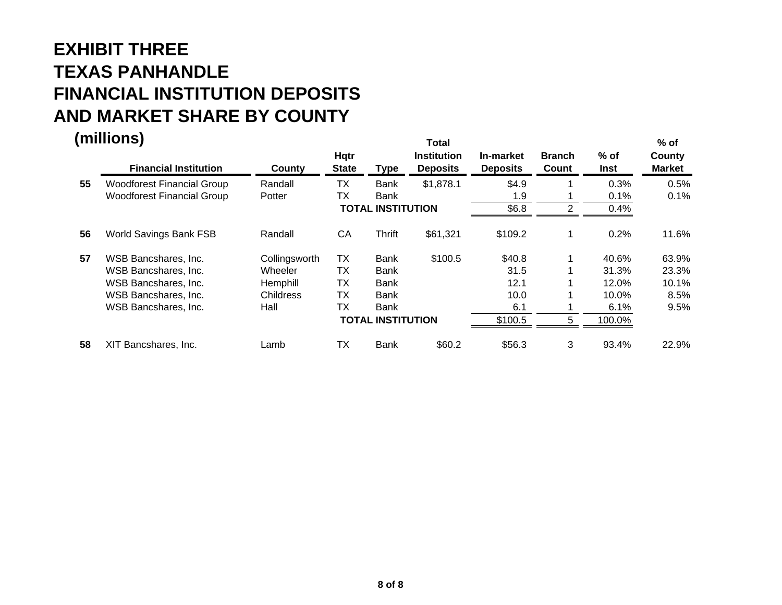|    | (millions)<br><b>Financial Institution</b> | County           | <b>Hqtr</b><br><b>State</b> | Type                     | <b>Total</b><br><b>Institution</b><br><b>Deposits</b> | In-market<br><b>Deposits</b> | <b>Branch</b><br>Count | $%$ of<br>Inst | $%$ of<br>County<br><b>Market</b> |
|----|--------------------------------------------|------------------|-----------------------------|--------------------------|-------------------------------------------------------|------------------------------|------------------------|----------------|-----------------------------------|
| 55 | <b>Woodforest Financial Group</b>          | Randall          | ТX                          | <b>Bank</b>              | \$1,878.1                                             | \$4.9                        |                        | 0.3%           | 0.5%                              |
|    | <b>Woodforest Financial Group</b>          | Potter           | ТX                          | Bank                     |                                                       | 1.9                          |                        | 0.1%           | 0.1%                              |
|    |                                            |                  |                             | <b>TOTAL INSTITUTION</b> |                                                       | \$6.8                        | っ                      | 0.4%           |                                   |
| 56 | World Savings Bank FSB                     | Randall          | CA                          | <b>Thrift</b>            | \$61,321                                              | \$109.2                      | 1                      | 0.2%           | 11.6%                             |
| 57 | WSB Bancshares, Inc.                       | Collingsworth    | ТX                          | <b>Bank</b>              | \$100.5                                               | \$40.8                       | 1                      | 40.6%          | 63.9%                             |
|    | WSB Bancshares, Inc.                       | Wheeler          | TX                          | Bank                     |                                                       | 31.5                         |                        | 31.3%          | 23.3%                             |
|    | WSB Bancshares, Inc.                       | Hemphill         | ТX                          | Bank                     |                                                       | 12.1                         |                        | 12.0%          | 10.1%                             |
|    | WSB Bancshares, Inc.                       | <b>Childress</b> | ТX                          | Bank                     |                                                       | 10.0                         |                        | 10.0%          | 8.5%                              |
|    | WSB Bancshares, Inc.                       | Hall             | <b>TX</b>                   | Bank                     |                                                       | 6.1                          |                        | 6.1%           | 9.5%                              |
|    |                                            |                  |                             | <b>TOTAL INSTITUTION</b> |                                                       | \$100.5                      | 5                      | 100.0%         |                                   |
| 58 | XIT Bancshares, Inc.                       | Lamb             | ТX                          | <b>Bank</b>              | \$60.2                                                | \$56.3                       | 3                      | 93.4%          | 22.9%                             |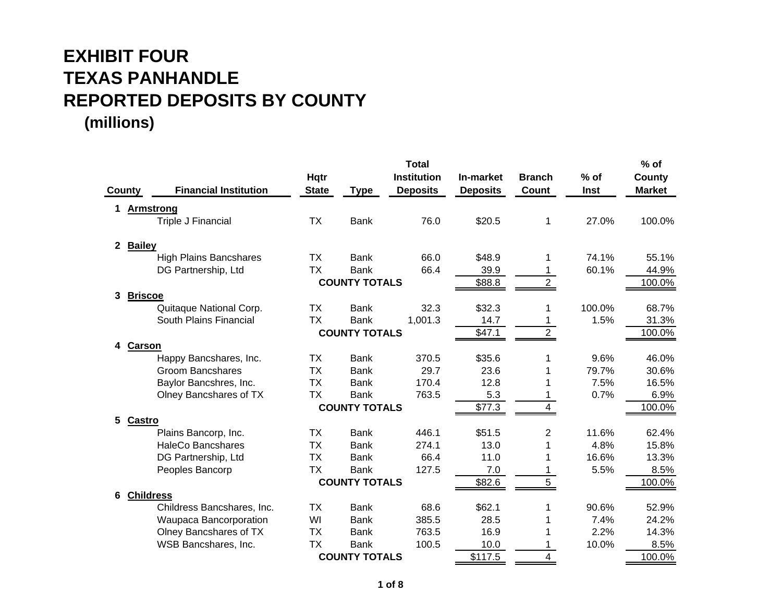|              |                               |              |                      | <b>Total</b>       |                 |                |        | $%$ of        |
|--------------|-------------------------------|--------------|----------------------|--------------------|-----------------|----------------|--------|---------------|
|              |                               | <b>Hqtr</b>  |                      | <b>Institution</b> | In-market       | <b>Branch</b>  | $%$ of | County        |
| County       | <b>Financial Institution</b>  | <b>State</b> | <b>Type</b>          | <b>Deposits</b>    | <b>Deposits</b> | Count          | Inst   | <b>Market</b> |
|              | <b>Armstrong</b>              |              |                      |                    |                 |                |        |               |
|              | Triple J Financial            | <b>TX</b>    | <b>Bank</b>          | 76.0               | \$20.5          | 1              | 27.0%  | 100.0%        |
| $\mathbf{2}$ | <b>Bailey</b>                 |              |                      |                    |                 |                |        |               |
|              | <b>High Plains Bancshares</b> | ТX           | <b>Bank</b>          | 66.0               | \$48.9          | 1.             | 74.1%  | 55.1%         |
|              | DG Partnership, Ltd           | <b>TX</b>    | <b>Bank</b>          | 66.4               | 39.9            |                | 60.1%  | 44.9%         |
|              |                               |              | <b>COUNTY TOTALS</b> |                    | \$88.8          | $\overline{2}$ |        | 100.0%        |
| 3            | <b>Briscoe</b>                |              |                      |                    |                 |                |        |               |
|              | Quitaque National Corp.       | ТX           | <b>Bank</b>          | 32.3               | \$32.3          |                | 100.0% | 68.7%         |
|              | South Plains Financial        | <b>TX</b>    | <b>Bank</b>          | 1,001.3            | 14.7            |                | 1.5%   | 31.3%         |
|              |                               |              | <b>COUNTY TOTALS</b> |                    | \$47.1          |                |        | 100.0%        |
| 4            | <b>Carson</b>                 |              |                      |                    |                 |                |        |               |
|              | Happy Bancshares, Inc.        | ТX           | <b>Bank</b>          | 370.5              | \$35.6          |                | 9.6%   | 46.0%         |
|              | <b>Groom Bancshares</b>       | <b>TX</b>    | <b>Bank</b>          | 29.7               | 23.6            |                | 79.7%  | 30.6%         |
|              | Baylor Bancshres, Inc.        | <b>TX</b>    | <b>Bank</b>          | 170.4              | 12.8            |                | 7.5%   | 16.5%         |
|              | Olney Bancshares of TX        | <b>TX</b>    | <b>Bank</b>          | 763.5              | 5.3             |                | 0.7%   | 6.9%          |
|              |                               |              | <b>COUNTY TOTALS</b> |                    | \$77.3          |                |        | 100.0%        |
| 5            | Castro                        |              |                      |                    |                 |                |        |               |
|              | Plains Bancorp, Inc.          | <b>TX</b>    | <b>Bank</b>          | 446.1              | \$51.5          | 2              | 11.6%  | 62.4%         |
|              | <b>HaleCo Bancshares</b>      | <b>TX</b>    | <b>Bank</b>          | 274.1              | 13.0            |                | 4.8%   | 15.8%         |
|              | DG Partnership, Ltd           | <b>TX</b>    | <b>Bank</b>          | 66.4               | 11.0            |                | 16.6%  | 13.3%         |
|              | Peoples Bancorp               | <b>TX</b>    | <b>Bank</b>          | 127.5              | 7.0             |                | 5.5%   | 8.5%          |
|              |                               |              | <b>COUNTY TOTALS</b> |                    | \$82.6          | 5              |        | 100.0%        |
| 6            | <b>Childress</b>              |              |                      |                    |                 |                |        |               |
|              | Childress Bancshares, Inc.    | <b>TX</b>    | <b>Bank</b>          | 68.6               | \$62.1          |                | 90.6%  | 52.9%         |
|              | Waupaca Bancorporation        | WI           | <b>Bank</b>          | 385.5              | 28.5            |                | 7.4%   | 24.2%         |
|              | Olney Bancshares of TX        | ТX           | <b>Bank</b>          | 763.5              | 16.9            |                | 2.2%   | 14.3%         |
|              | WSB Bancshares, Inc.          | <b>TX</b>    | <b>Bank</b>          | 100.5              | 10.0            |                | 10.0%  | 8.5%          |
|              |                               |              | <b>COUNTY TOTALS</b> |                    | \$117.5         | 4              |        | 100.0%        |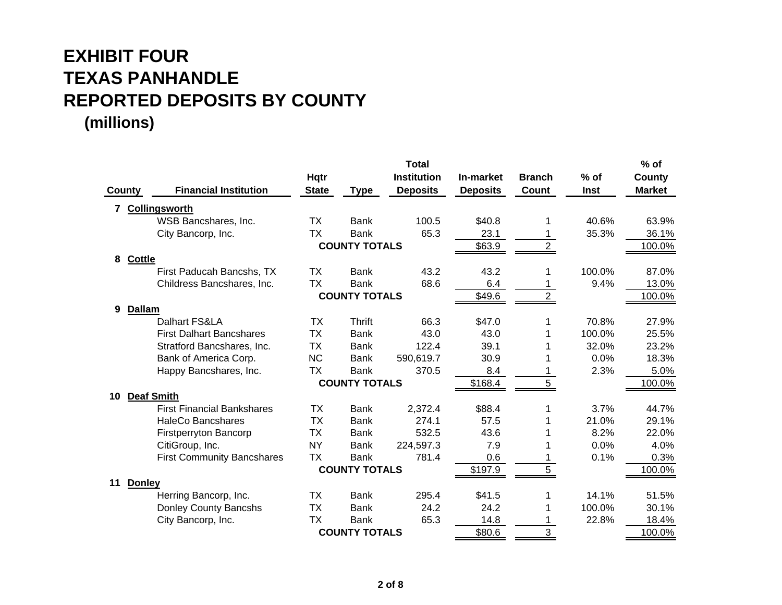|               |                                   |              |                      | <b>Total</b>       |                 |                |        | $%$ of        |
|---------------|-----------------------------------|--------------|----------------------|--------------------|-----------------|----------------|--------|---------------|
|               |                                   | <b>Hqtr</b>  |                      | <b>Institution</b> | In-market       | <b>Branch</b>  | $%$ of | <b>County</b> |
| <b>County</b> | <b>Financial Institution</b>      | <b>State</b> | <b>Type</b>          | <b>Deposits</b>    | <b>Deposits</b> | <b>Count</b>   | Inst   | <b>Market</b> |
| 7             | <b>Collingsworth</b>              |              |                      |                    |                 |                |        |               |
|               | WSB Bancshares, Inc.              | <b>TX</b>    | <b>Bank</b>          | 100.5              | \$40.8          |                | 40.6%  | 63.9%         |
|               | City Bancorp, Inc.                | <b>TX</b>    | <b>Bank</b>          | 65.3               | 23.1            |                | 35.3%  | 36.1%         |
|               |                                   |              | <b>COUNTY TOTALS</b> |                    | \$63.9          | $\overline{2}$ |        | 100.0%        |
| 8             | Cottle                            |              |                      |                    |                 |                |        |               |
|               | First Paducah Bancshs, TX         | <b>TX</b>    | <b>Bank</b>          | 43.2               | 43.2            |                | 100.0% | 87.0%         |
|               | Childress Bancshares, Inc.        | <b>TX</b>    | <b>Bank</b>          | 68.6               | 6.4             |                | 9.4%   | 13.0%         |
|               |                                   |              | <b>COUNTY TOTALS</b> |                    | \$49.6          | $\overline{2}$ |        | 100.0%        |
| 9             | <b>Dallam</b>                     |              |                      |                    |                 |                |        |               |
|               | Dalhart FS&LA                     | <b>TX</b>    | Thrift               | 66.3               | \$47.0          |                | 70.8%  | 27.9%         |
|               | <b>First Dalhart Bancshares</b>   | <b>TX</b>    | <b>Bank</b>          | 43.0               | 43.0            |                | 100.0% | 25.5%         |
|               | Stratford Bancshares, Inc.        | <b>TX</b>    | <b>Bank</b>          | 122.4              | 39.1            |                | 32.0%  | 23.2%         |
|               | Bank of America Corp.             | <b>NC</b>    | <b>Bank</b>          | 590,619.7          | 30.9            |                | 0.0%   | 18.3%         |
|               | Happy Bancshares, Inc.            | <b>TX</b>    | <b>Bank</b>          | 370.5              | 8.4             |                | 2.3%   | 5.0%          |
|               |                                   |              | <b>COUNTY TOTALS</b> |                    | \$168.4         | 5.             |        | 100.0%        |
| 10            | <b>Deaf Smith</b>                 |              |                      |                    |                 |                |        |               |
|               | <b>First Financial Bankshares</b> | ТX           | <b>Bank</b>          | 2,372.4            | \$88.4          |                | 3.7%   | 44.7%         |
|               | <b>HaleCo Bancshares</b>          | <b>TX</b>    | <b>Bank</b>          | 274.1              | 57.5            |                | 21.0%  | 29.1%         |
|               | <b>Firstperryton Bancorp</b>      | <b>TX</b>    | <b>Bank</b>          | 532.5              | 43.6            |                | 8.2%   | 22.0%         |
|               | CitiGroup, Inc.                   | <b>NY</b>    | <b>Bank</b>          | 224,597.3          | 7.9             |                | 0.0%   | 4.0%          |
|               | <b>First Community Bancshares</b> | <b>TX</b>    | <b>Bank</b>          | 781.4              | 0.6             |                | 0.1%   | 0.3%          |
|               |                                   |              | <b>COUNTY TOTALS</b> |                    | \$197.9         | 5              |        | 100.0%        |
| 11            | <b>Donley</b>                     |              |                      |                    |                 |                |        |               |
|               | Herring Bancorp, Inc.             | <b>TX</b>    | <b>Bank</b>          | 295.4              | \$41.5          |                | 14.1%  | 51.5%         |
|               | Donley County Bancshs             | <b>TX</b>    | <b>Bank</b>          | 24.2               | 24.2            |                | 100.0% | 30.1%         |
|               | City Bancorp, Inc.                | <b>TX</b>    | <b>Bank</b>          | 65.3               | 14.8            |                | 22.8%  | 18.4%         |
|               |                                   |              | <b>COUNTY TOTALS</b> |                    | \$80.6          | 3              |        | 100.0%        |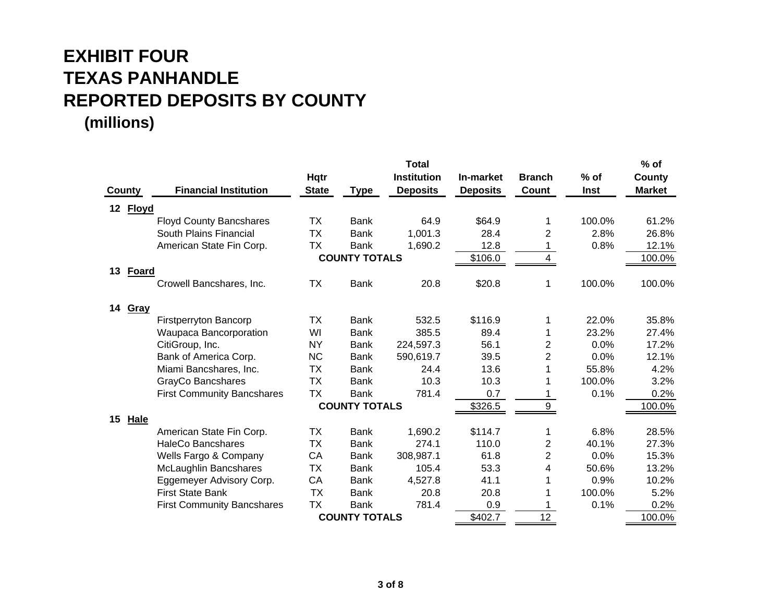|                    |                                   |              |                      | <b>Total</b>       |                 |                         |        | $%$ of        |
|--------------------|-----------------------------------|--------------|----------------------|--------------------|-----------------|-------------------------|--------|---------------|
|                    |                                   | <b>Hqtr</b>  |                      | <b>Institution</b> | In-market       | <b>Branch</b>           | $%$ of | <b>County</b> |
| County             | <b>Financial Institution</b>      | <b>State</b> | <b>Type</b>          | <b>Deposits</b>    | <b>Deposits</b> | Count                   | Inst   | <b>Market</b> |
| 12<br><b>Floyd</b> |                                   |              |                      |                    |                 |                         |        |               |
|                    | <b>Floyd County Bancshares</b>    | <b>TX</b>    | <b>Bank</b>          | 64.9               | \$64.9          | 1                       | 100.0% | 61.2%         |
|                    | South Plains Financial            | TX           | Bank                 | 1,001.3            | 28.4            | 2                       | 2.8%   | 26.8%         |
|                    | American State Fin Corp.          | <b>TX</b>    | <b>Bank</b>          | 1,690.2            | 12.8            |                         | 0.8%   | 12.1%         |
|                    |                                   |              | <b>COUNTY TOTALS</b> |                    | \$106.0         | 4                       |        | 100.0%        |
| 13<br><b>Foard</b> |                                   |              |                      |                    |                 |                         |        |               |
|                    | Crowell Bancshares, Inc.          | ТX           | <b>Bank</b>          | 20.8               | \$20.8          | 1                       | 100.0% | 100.0%        |
| 14<br>Gray         |                                   |              |                      |                    |                 |                         |        |               |
|                    | Firstperryton Bancorp             | ТX           | <b>Bank</b>          | 532.5              | \$116.9         |                         | 22.0%  | 35.8%         |
|                    | Waupaca Bancorporation            | WI           | <b>Bank</b>          | 385.5              | 89.4            |                         | 23.2%  | 27.4%         |
|                    | CitiGroup, Inc.                   | <b>NY</b>    | <b>Bank</b>          | 224,597.3          | 56.1            | 2                       | 0.0%   | 17.2%         |
|                    | Bank of America Corp.             | <b>NC</b>    | <b>Bank</b>          | 590,619.7          | 39.5            | $\overline{2}$          | 0.0%   | 12.1%         |
|                    | Miami Bancshares, Inc.            | <b>TX</b>    | Bank                 | 24.4               | 13.6            |                         | 55.8%  | 4.2%          |
|                    | GrayCo Bancshares                 | ТX           | <b>Bank</b>          | 10.3               | 10.3            |                         | 100.0% | 3.2%          |
|                    | <b>First Community Bancshares</b> | ТX           | <b>Bank</b>          | 781.4              | 0.7             |                         | 0.1%   | 0.2%          |
|                    |                                   |              | <b>COUNTY TOTALS</b> |                    | \$326.5         | 9                       |        | 100.0%        |
| Hale<br>15         |                                   |              |                      |                    |                 |                         |        |               |
|                    | American State Fin Corp.          | <b>TX</b>    | <b>Bank</b>          | 1,690.2            | \$114.7         | 1                       | 6.8%   | 28.5%         |
|                    | HaleCo Bancshares                 | ТX           | <b>Bank</b>          | 274.1              | 110.0           | $\overline{\mathbf{c}}$ | 40.1%  | 27.3%         |
|                    | Wells Fargo & Company             | CA           | <b>Bank</b>          | 308,987.1          | 61.8            | $\overline{2}$          | 0.0%   | 15.3%         |
|                    | McLaughlin Bancshares             | ТX           | <b>Bank</b>          | 105.4              | 53.3            | 4                       | 50.6%  | 13.2%         |
|                    | Eggemeyer Advisory Corp.          | CA           | <b>Bank</b>          | 4,527.8            | 41.1            |                         | 0.9%   | 10.2%         |
|                    | <b>First State Bank</b>           | <b>TX</b>    | <b>Bank</b>          | 20.8               | 20.8            |                         | 100.0% | 5.2%          |
|                    | <b>First Community Bancshares</b> | <b>TX</b>    | <b>Bank</b>          | 781.4              | 0.9             |                         | 0.1%   | 0.2%          |
|                    |                                   |              | <b>COUNTY TOTALS</b> |                    | \$402.7         | 12                      |        | 100.0%        |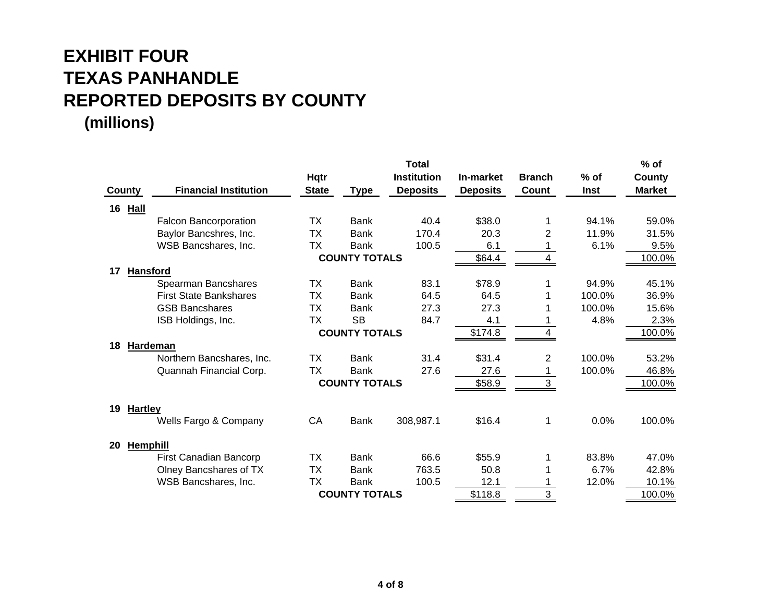|               |                                         |              |                      | <b>Total</b>       |                 |               |             | $%$ of        |
|---------------|-----------------------------------------|--------------|----------------------|--------------------|-----------------|---------------|-------------|---------------|
|               |                                         | <b>Hqtr</b>  |                      | <b>Institution</b> | In-market       | <b>Branch</b> | $%$ of      | County        |
| <b>County</b> | <b>Financial Institution</b>            | <b>State</b> | <b>Type</b>          | <b>Deposits</b>    | <b>Deposits</b> | <b>Count</b>  | <b>Inst</b> | <b>Market</b> |
| 16            | <b>Hall</b>                             |              |                      |                    |                 |               |             |               |
|               | <b>Falcon Bancorporation</b>            | TX           | <b>Bank</b>          | 40.4               | \$38.0          |               | 94.1%       | 59.0%         |
|               | Baylor Bancshres, Inc.                  | TX           | <b>Bank</b>          | 170.4              | 20.3            | 2             | 11.9%       | 31.5%         |
|               | WSB Bancshares, Inc.                    | TX           | <b>Bank</b>          | 100.5              | 6.1             |               | 6.1%        | 9.5%          |
|               |                                         |              | <b>COUNTY TOTALS</b> |                    | \$64.4          | 4             |             | 100.0%        |
| 17            | <b>Hansford</b>                         |              |                      |                    |                 |               |             |               |
|               | Spearman Bancshares                     | ТX           | <b>Bank</b>          | 83.1               | \$78.9          |               | 94.9%       | 45.1%         |
|               | <b>First State Bankshares</b>           | TX           | <b>Bank</b>          | 64.5               | 64.5            |               | 100.0%      | 36.9%         |
|               | <b>GSB Bancshares</b>                   | <b>TX</b>    | <b>Bank</b>          | 27.3               | 27.3            |               | 100.0%      | 15.6%         |
|               | ISB Holdings, Inc.                      | ТX           | <b>SB</b>            | 84.7               | 4.1             |               | 4.8%        | 2.3%          |
|               |                                         |              | <b>COUNTY TOTALS</b> |                    | \$174.8         | 4             |             | 100.0%        |
| 18            | <b>Hardeman</b>                         |              |                      |                    |                 |               |             |               |
|               | Northern Bancshares, Inc.               | <b>TX</b>    | <b>Bank</b>          | 31.4               | \$31.4          | 2             | 100.0%      | 53.2%         |
|               | Quannah Financial Corp.                 | ТX           | <b>Bank</b>          | 27.6               | 27.6            |               | 100.0%      | 46.8%         |
|               |                                         |              | <b>COUNTY TOTALS</b> |                    | \$58.9          | 3             |             | 100.0%        |
|               |                                         |              |                      |                    |                 |               |             |               |
| 19            | <b>Hartley</b><br>Wells Fargo & Company | CA           | <b>Bank</b>          | 308,987.1          | \$16.4          | 1             | 0.0%        | 100.0%        |
|               |                                         |              |                      |                    |                 |               |             |               |
| 20            | <b>Hemphill</b>                         |              |                      |                    |                 |               |             |               |
|               | First Canadian Bancorp                  | ТX           | <b>Bank</b>          | 66.6               | \$55.9          |               | 83.8%       | 47.0%         |
|               | Olney Bancshares of TX                  | ТX           | <b>Bank</b>          | 763.5              | 50.8            |               | 6.7%        | 42.8%         |
|               | WSB Bancshares, Inc.                    | <b>TX</b>    | <b>Bank</b>          | 100.5              | 12.1            |               | 12.0%       | 10.1%         |
|               |                                         |              | <b>COUNTY TOTALS</b> |                    | \$118.8         | 3             |             | 100.0%        |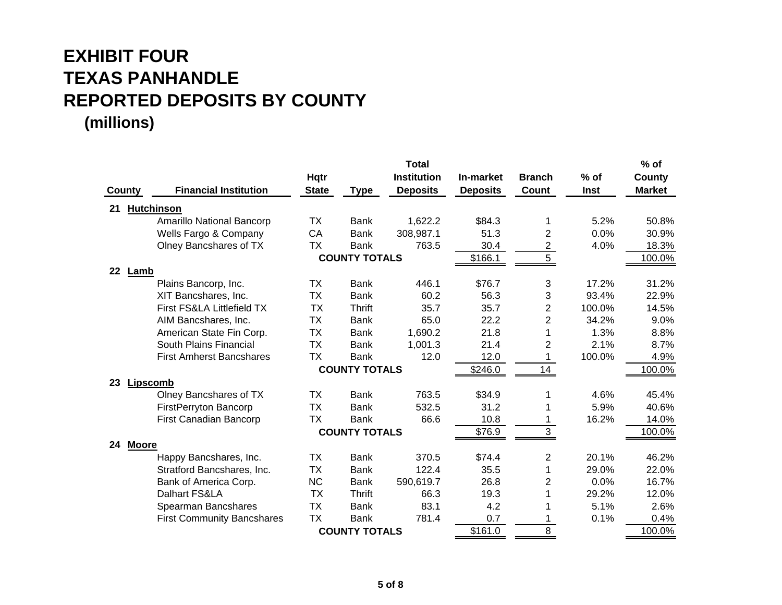|               |                                   |              |                      | <b>Total</b>       |                 |                |        | % of          |
|---------------|-----------------------------------|--------------|----------------------|--------------------|-----------------|----------------|--------|---------------|
|               |                                   | <b>Hqtr</b>  |                      | <b>Institution</b> | In-market       | <b>Branch</b>  | $%$ of | County        |
| <b>County</b> | <b>Financial Institution</b>      | <b>State</b> | <b>Type</b>          | <b>Deposits</b>    | <b>Deposits</b> | Count          | Inst   | <b>Market</b> |
| 21            | <b>Hutchinson</b>                 |              |                      |                    |                 |                |        |               |
|               | <b>Amarillo National Bancorp</b>  | ТX           | <b>Bank</b>          | 1,622.2            | \$84.3          | 1              | 5.2%   | 50.8%         |
|               | Wells Fargo & Company             | CA           | <b>Bank</b>          | 308,987.1          | 51.3            | $\overline{2}$ | 0.0%   | 30.9%         |
|               | Olney Bancshares of TX            | <b>TX</b>    | <b>Bank</b>          | 763.5              | 30.4            | $\overline{2}$ | 4.0%   | 18.3%         |
|               |                                   |              | <b>COUNTY TOTALS</b> |                    | \$166.1         | 5              |        | 100.0%        |
| 22 Lamb       |                                   |              |                      |                    |                 |                |        |               |
|               | Plains Bancorp, Inc.              | TX           | <b>Bank</b>          | 446.1              | \$76.7          | 3              | 17.2%  | 31.2%         |
|               | XIT Bancshares, Inc.              | <b>TX</b>    | <b>Bank</b>          | 60.2               | 56.3            | 3              | 93.4%  | 22.9%         |
|               | First FS&LA Littlefield TX        | TX           | Thrift               | 35.7               | 35.7            | $\overline{2}$ | 100.0% | 14.5%         |
|               | AIM Bancshares, Inc.              | <b>TX</b>    | <b>Bank</b>          | 65.0               | 22.2            | $\overline{2}$ | 34.2%  | 9.0%          |
|               | American State Fin Corp.          | ТX           | <b>Bank</b>          | 1,690.2            | 21.8            | 1              | 1.3%   | 8.8%          |
|               | South Plains Financial            | <b>TX</b>    | <b>Bank</b>          | 1,001.3            | 21.4            | $\overline{2}$ | 2.1%   | 8.7%          |
|               | <b>First Amherst Bancshares</b>   | TX           | <b>Bank</b>          | 12.0               | 12.0            |                | 100.0% | 4.9%          |
|               |                                   |              | <b>COUNTY TOTALS</b> |                    | \$246.0         | 14             |        | 100.0%        |
| 23            | Lipscomb                          |              |                      |                    |                 |                |        |               |
|               | Olney Bancshares of TX            | <b>TX</b>    | <b>Bank</b>          | 763.5              | \$34.9          | 1              | 4.6%   | 45.4%         |
|               | FirstPerryton Bancorp             | <b>TX</b>    | <b>Bank</b>          | 532.5              | 31.2            |                | 5.9%   | 40.6%         |
|               | First Canadian Bancorp            | ТX           | <b>Bank</b>          | 66.6               | 10.8            |                | 16.2%  | 14.0%         |
|               |                                   |              | <b>COUNTY TOTALS</b> |                    | \$76.9          | 3              |        | 100.0%        |
| 24            | <b>Moore</b>                      |              |                      |                    |                 |                |        |               |
|               | Happy Bancshares, Inc.            | TX           | <b>Bank</b>          | 370.5              | \$74.4          | 2              | 20.1%  | 46.2%         |
|               | Stratford Bancshares, Inc.        | ТX           | <b>Bank</b>          | 122.4              | 35.5            | 1              | 29.0%  | 22.0%         |
|               | Bank of America Corp.             | <b>NC</b>    | <b>Bank</b>          | 590,619.7          | 26.8            | $\overline{c}$ | 0.0%   | 16.7%         |
|               | Dalhart FS&LA                     | <b>TX</b>    | <b>Thrift</b>        | 66.3               | 19.3            |                | 29.2%  | 12.0%         |
|               | Spearman Bancshares               | <b>TX</b>    | <b>Bank</b>          | 83.1               | 4.2             |                | 5.1%   | 2.6%          |
|               | <b>First Community Bancshares</b> | <b>TX</b>    | <b>Bank</b>          | 781.4              | 0.7             |                | 0.1%   | 0.4%          |
|               |                                   |              | <b>COUNTY TOTALS</b> |                    | \$161.0         | 8              |        | 100.0%        |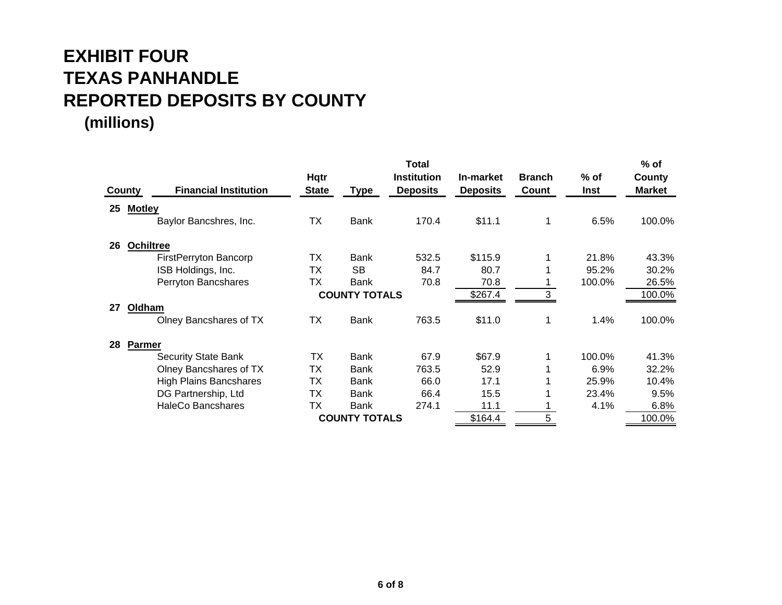|    |                                        |              |                      | <b>Total</b>       |                 |               |         | $%$ of        |
|----|----------------------------------------|--------------|----------------------|--------------------|-----------------|---------------|---------|---------------|
|    |                                        | <b>Hqtr</b>  |                      | <b>Institution</b> | In-market       | <b>Branch</b> | % of    | County        |
|    | <b>Financial Institution</b><br>County | <b>State</b> | <u>Type</u>          | <b>Deposits</b>    | <b>Deposits</b> | Count         | Inst    | <b>Market</b> |
| 25 | <b>Motley</b>                          |              |                      |                    |                 |               |         |               |
|    | Baylor Bancshres, Inc.                 | <b>TX</b>    | <b>Bank</b>          | 170.4              | \$11.1          |               | 6.5%    | 100.0%        |
| 26 | <b>Ochiltree</b>                       |              |                      |                    |                 |               |         |               |
|    | <b>FirstPerryton Bancorp</b>           | ТX           | Bank                 | 532.5              | \$115.9         |               | 21.8%   | 43.3%         |
|    | ISB Holdings, Inc.                     | ТX           | <b>SB</b>            | 84.7               | 80.7            |               | 95.2%   | 30.2%         |
|    | Perryton Bancshares                    | <b>TX</b>    | Bank                 | 70.8               | 70.8            |               | 100.0%  | 26.5%         |
|    |                                        |              | <b>COUNTY TOTALS</b> |                    | \$267.4         |               |         | 100.0%        |
| 27 | Oldham                                 |              |                      |                    |                 |               |         |               |
|    | Olney Bancshares of TX                 | <b>TX</b>    | <b>Bank</b>          | 763.5              | \$11.0          |               | 1.4%    | 100.0%        |
| 28 | <b>Parmer</b>                          |              |                      |                    |                 |               |         |               |
|    | <b>Security State Bank</b>             | ТX           | <b>Bank</b>          | 67.9               | \$67.9          |               | 100.0%  | 41.3%         |
|    | Olney Bancshares of TX                 | TX           | Bank                 | 763.5              | 52.9            |               | $6.9\%$ | 32.2%         |
|    | <b>High Plains Bancshares</b>          | ТX           | Bank                 | 66.0               | 17.1            |               | 25.9%   | 10.4%         |
|    | DG Partnership, Ltd                    | ТX           | Bank                 | 66.4               | 15.5            |               | 23.4%   | 9.5%          |
|    | <b>HaleCo Bancshares</b>               | ТX           | <b>Bank</b>          | 274.1              | 11.1            |               | 4.1%    | 6.8%          |
|    |                                        |              | <b>COUNTY TOTALS</b> |                    | \$164.4         |               |         | 100.0%        |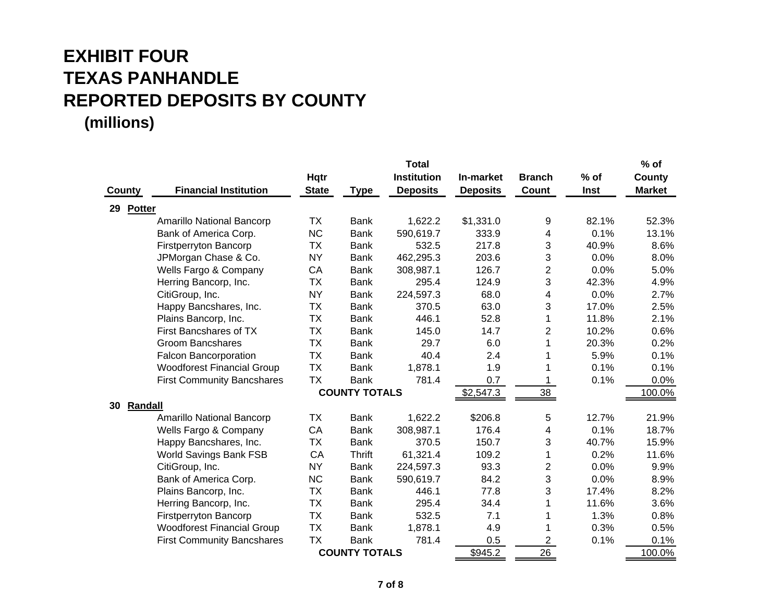|                      |                                   |              |                      | <b>Total</b>       |                 |                |        | $%$ of        |
|----------------------|-----------------------------------|--------------|----------------------|--------------------|-----------------|----------------|--------|---------------|
|                      |                                   | Hqtr         |                      | <b>Institution</b> | In-market       | <b>Branch</b>  | $%$ of | County        |
| County               | <b>Financial Institution</b>      | <b>State</b> | <b>Type</b>          | <b>Deposits</b>    | <b>Deposits</b> | Count          | Inst   | <b>Market</b> |
| 29 Potter            |                                   |              |                      |                    |                 |                |        |               |
|                      | <b>Amarillo National Bancorp</b>  | ТX           | <b>Bank</b>          | 1,622.2            | \$1,331.0       | 9              | 82.1%  | 52.3%         |
|                      | Bank of America Corp.             | <b>NC</b>    | <b>Bank</b>          | 590,619.7          | 333.9           | 4              | 0.1%   | 13.1%         |
|                      | <b>Firstperryton Bancorp</b>      | <b>TX</b>    | <b>Bank</b>          | 532.5              | 217.8           | 3              | 40.9%  | 8.6%          |
|                      | JPMorgan Chase & Co.              | <b>NY</b>    | <b>Bank</b>          | 462,295.3          | 203.6           | 3              | 0.0%   | 8.0%          |
|                      | Wells Fargo & Company             | CA           | <b>Bank</b>          | 308,987.1          | 126.7           | $\overline{c}$ | 0.0%   | 5.0%          |
|                      | Herring Bancorp, Inc.             | <b>TX</b>    | <b>Bank</b>          | 295.4              | 124.9           | 3              | 42.3%  | 4.9%          |
|                      | CitiGroup, Inc.                   | <b>NY</b>    | <b>Bank</b>          | 224,597.3          | 68.0            | 4              | 0.0%   | 2.7%          |
|                      | Happy Bancshares, Inc.            | <b>TX</b>    | <b>Bank</b>          | 370.5              | 63.0            | 3              | 17.0%  | 2.5%          |
|                      | Plains Bancorp, Inc.              | <b>TX</b>    | <b>Bank</b>          | 446.1              | 52.8            | $\mathbf{1}$   | 11.8%  | 2.1%          |
|                      | First Bancshares of TX            | <b>TX</b>    | <b>Bank</b>          | 145.0              | 14.7            | $\overline{2}$ | 10.2%  | 0.6%          |
|                      | <b>Groom Bancshares</b>           | <b>TX</b>    | <b>Bank</b>          | 29.7               | 6.0             | $\mathbf{1}$   | 20.3%  | 0.2%          |
|                      | Falcon Bancorporation             | <b>TX</b>    | <b>Bank</b>          | 40.4               | 2.4             | 1              | 5.9%   | 0.1%          |
|                      | <b>Woodforest Financial Group</b> | <b>TX</b>    | <b>Bank</b>          | 1,878.1            | 1.9             | 1              | 0.1%   | 0.1%          |
|                      | <b>First Community Bancshares</b> | <b>TX</b>    | <b>Bank</b>          | 781.4              | 0.7             |                | 0.1%   | 0.0%          |
|                      |                                   |              | <b>COUNTY TOTALS</b> |                    | \$2,547.3       | 38             |        | 100.0%        |
| <b>Randall</b><br>30 |                                   |              |                      |                    |                 |                |        |               |
|                      | Amarillo National Bancorp         | <b>TX</b>    | <b>Bank</b>          | 1,622.2            | \$206.8         | 5              | 12.7%  | 21.9%         |
|                      | Wells Fargo & Company             | CA           | <b>Bank</b>          | 308,987.1          | 176.4           | 4              | 0.1%   | 18.7%         |
|                      | Happy Bancshares, Inc.            | <b>TX</b>    | <b>Bank</b>          | 370.5              | 150.7           | 3              | 40.7%  | 15.9%         |
|                      | World Savings Bank FSB            | CA           | <b>Thrift</b>        | 61,321.4           | 109.2           | $\mathbf{1}$   | 0.2%   | 11.6%         |
|                      | CitiGroup, Inc.                   | <b>NY</b>    | <b>Bank</b>          | 224,597.3          | 93.3            | $\overline{c}$ | 0.0%   | 9.9%          |
|                      | Bank of America Corp.             | <b>NC</b>    | <b>Bank</b>          | 590,619.7          | 84.2            | 3              | 0.0%   | 8.9%          |
|                      | Plains Bancorp, Inc.              | <b>TX</b>    | <b>Bank</b>          | 446.1              | 77.8            | 3              | 17.4%  | 8.2%          |
|                      | Herring Bancorp, Inc.             | <b>TX</b>    | <b>Bank</b>          | 295.4              | 34.4            | 1              | 11.6%  | 3.6%          |
|                      | <b>Firstperryton Bancorp</b>      | <b>TX</b>    | <b>Bank</b>          | 532.5              | 7.1             | 1              | 1.3%   | 0.8%          |
|                      | <b>Woodforest Financial Group</b> | <b>TX</b>    | <b>Bank</b>          | 1,878.1            | 4.9             | 1              | 0.3%   | 0.5%          |
|                      | <b>First Community Bancshares</b> | <b>TX</b>    | <b>Bank</b>          | 781.4              | 0.5             | $\overline{2}$ | 0.1%   | 0.1%          |
|                      |                                   |              | <b>COUNTY TOTALS</b> |                    | \$945.2         | 26             |        | 100.0%        |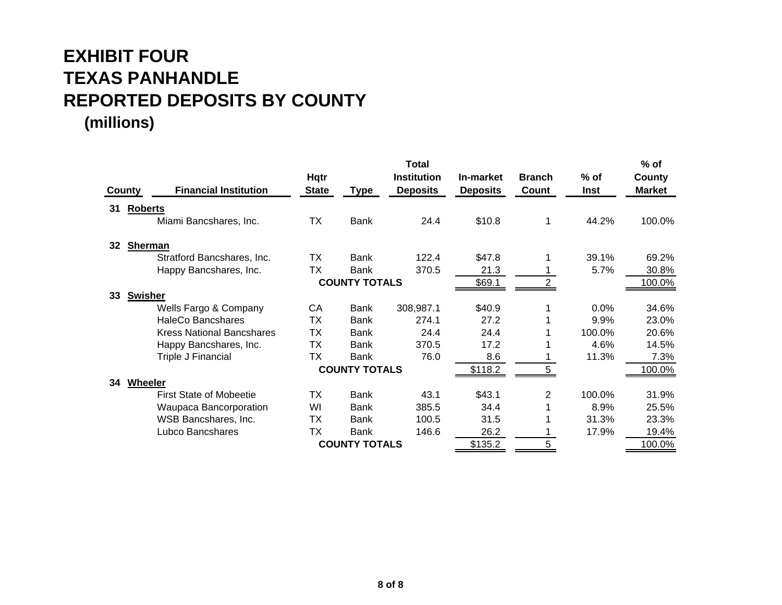|    |                                               |              |                      | <b>Total</b>       |                 |               |        | $%$ of        |
|----|-----------------------------------------------|--------------|----------------------|--------------------|-----------------|---------------|--------|---------------|
|    |                                               | Hqtr         |                      | <b>Institution</b> | In-market       | <b>Branch</b> | $%$ of | County        |
|    | <b>Financial Institution</b><br><b>County</b> | <b>State</b> | <b>Type</b>          | <b>Deposits</b>    | <b>Deposits</b> | Count         | Inst   | <b>Market</b> |
| 31 | <b>Roberts</b>                                |              |                      |                    |                 |               |        |               |
|    | Miami Bancshares, Inc.                        | <b>TX</b>    | Bank                 | 24.4               | \$10.8          |               | 44.2%  | 100.0%        |
| 32 | <b>Sherman</b>                                |              |                      |                    |                 |               |        |               |
|    | Stratford Bancshares, Inc.                    | ТX           | <b>Bank</b>          | 122.4              | \$47.8          |               | 39.1%  | 69.2%         |
|    | Happy Bancshares, Inc.                        | ТX           | Bank                 | 370.5              | 21.3            |               | 5.7%   | 30.8%         |
|    |                                               |              | <b>COUNTY TOTALS</b> |                    | \$69.1          | 2             |        | 100.0%        |
| 33 | <b>Swisher</b>                                |              |                      |                    |                 |               |        |               |
|    | Wells Fargo & Company                         | CA           | Bank                 | 308,987.1          | \$40.9          |               | 0.0%   | 34.6%         |
|    | <b>HaleCo Bancshares</b>                      | ТX           | <b>Bank</b>          | 274.1              | 27.2            |               | 9.9%   | 23.0%         |
|    | <b>Kress National Bancshares</b>              | ТX           | Bank                 | 24.4               | 24.4            |               | 100.0% | 20.6%         |
|    | Happy Bancshares, Inc.                        | ТX           | Bank                 | 370.5              | 17.2            |               | 4.6%   | 14.5%         |
|    | Triple J Financial                            | ТX           | <b>Bank</b>          | 76.0               | 8.6             |               | 11.3%  | 7.3%          |
|    |                                               |              | <b>COUNTY TOTALS</b> |                    | \$118.2         | 5.            |        | 100.0%        |
| 34 | Wheeler                                       |              |                      |                    |                 |               |        |               |
|    | <b>First State of Mobeetie</b>                | <b>TX</b>    | <b>Bank</b>          | 43.1               | \$43.1          | 2             | 100.0% | 31.9%         |
|    | Waupaca Bancorporation                        | WI           | Bank                 | 385.5              | 34.4            |               | 8.9%   | 25.5%         |
|    | WSB Bancshares, Inc.                          | ТX           | Bank                 | 100.5              | 31.5            |               | 31.3%  | 23.3%         |
|    | Lubco Bancshares                              | ТX           | Bank                 | 146.6              | 26.2            |               | 17.9%  | 19.4%         |
|    |                                               |              | <b>COUNTY TOTALS</b> |                    | \$135.2         | 5.            |        | 100.0%        |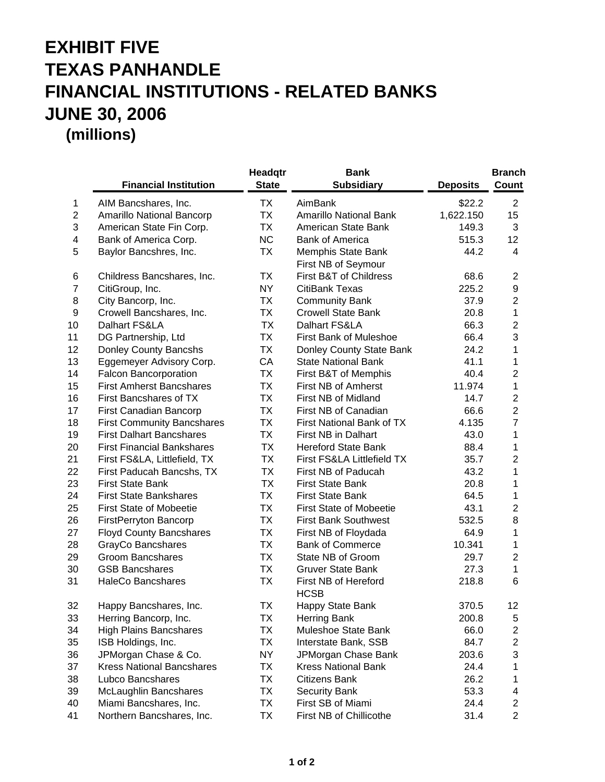## **EXHIBIT FIVE TEXAS PANHANDLE FINANCIAL INSTITUTIONS - RELATED BANKS JUNE 30, 2006 (millions)**

|                  | <b>Financial Institution</b>      | Headqtr<br><b>State</b> | <b>Bank</b><br><b>Subsidiary</b>          | <b>Deposits</b> | <b>Branch</b><br>Count  |
|------------------|-----------------------------------|-------------------------|-------------------------------------------|-----------------|-------------------------|
| 1                | AIM Bancshares, Inc.              | TX                      | AimBank                                   | \$22.2          | 2                       |
| $\overline{2}$   | Amarillo National Bancorp         | TX                      | <b>Amarillo National Bank</b>             | 1,622.150       | 15                      |
| 3                | American State Fin Corp.          | TX                      | American State Bank                       | 149.3           | 3                       |
| 4                | Bank of America Corp.             | <b>NC</b>               | <b>Bank of America</b>                    | 515.3           | 12                      |
| 5                | Baylor Bancshres, Inc.            | TX                      | Memphis State Bank<br>First NB of Seymour | 44.2            | 4                       |
| 6                | Childress Bancshares, Inc.        | ТX                      | First B&T of Childress                    | 68.6            | $\overline{\mathbf{c}}$ |
| $\overline{7}$   | CitiGroup, Inc.                   | NY.                     | CitiBank Texas                            | 225.2           | $\boldsymbol{9}$        |
| 8                | City Bancorp, Inc.                | ТX                      | <b>Community Bank</b>                     | 37.9            | $\overline{2}$          |
| $\boldsymbol{9}$ | Crowell Bancshares, Inc.          | TX                      | <b>Crowell State Bank</b>                 | 20.8            | 1                       |
| 10               | Dalhart FS&LA                     | TX                      | Dalhart FS&LA                             | 66.3            | $\overline{c}$          |
| 11               | DG Partnership, Ltd               | TX                      | First Bank of Muleshoe                    | 66.4            | 3                       |
| 12               | Donley County Bancshs             | TX                      | Donley County State Bank                  | 24.2            | 1                       |
| 13               | Eggemeyer Advisory Corp.          | CA                      | <b>State National Bank</b>                | 41.1            | 1                       |
| 14               | Falcon Bancorporation             | ТX                      | First B&T of Memphis                      | 40.4            | $\overline{2}$          |
| 15               | <b>First Amherst Bancshares</b>   | TX                      | First NB of Amherst                       | 11.974          | $\mathbf{1}$            |
| 16               | First Bancshares of TX            | ТX                      | First NB of Midland                       | 14.7            | $\overline{c}$          |
| 17               | First Canadian Bancorp            | ТX                      | First NB of Canadian                      | 66.6            | $\overline{2}$          |
| 18               | <b>First Community Bancshares</b> | TX                      | First National Bank of TX                 | 4.135           | $\overline{7}$          |
| 19               | <b>First Dalhart Bancshares</b>   | ТX                      | First NB in Dalhart                       | 43.0            | 1                       |
| 20               | <b>First Financial Bankshares</b> | ТX                      | <b>Hereford State Bank</b>                | 88.4            | 1                       |
| 21               | First FS&LA, Littlefield, TX      | TX                      | First FS&LA Littlefield TX                | 35.7            | $\overline{c}$          |
| 22               | First Paducah Bancshs, TX         | TX                      | First NB of Paducah                       | 43.2            | 1                       |
| 23               | <b>First State Bank</b>           | TX                      | <b>First State Bank</b>                   | 20.8            | 1                       |
| 24               | <b>First State Bankshares</b>     | TX                      | <b>First State Bank</b>                   | 64.5            | 1                       |
| 25               | <b>First State of Mobeetie</b>    | TX                      | <b>First State of Mobeetie</b>            | 43.1            | $\overline{c}$          |
| 26               | FirstPerryton Bancorp             | ТX                      | <b>First Bank Southwest</b>               | 532.5           | 8                       |
| 27               | <b>Floyd County Bancshares</b>    | ТX                      | First NB of Floydada                      | 64.9            | 1                       |
| 28               | GrayCo Bancshares                 | ТX                      | <b>Bank of Commerce</b>                   | 10.341          | 1                       |
| 29               | <b>Groom Bancshares</b>           | ТX                      | State NB of Groom                         | 29.7            | $\overline{c}$          |
| 30               | <b>GSB Bancshares</b>             | TX                      | <b>Gruver State Bank</b>                  | 27.3            | $\mathbf{1}$            |
| 31               | <b>HaleCo Bancshares</b>          | TX                      | First NB of Hereford<br><b>HCSB</b>       | 218.8           | 6                       |
| 32               | Happy Bancshares, Inc.            | ТX                      | Happy State Bank                          | 370.5           | 12                      |
| 33               | Herring Bancorp, Inc.             | ТX                      | <b>Herring Bank</b>                       | 200.8           | 5                       |
| 34               | <b>High Plains Bancshares</b>     | ТX                      | Muleshoe State Bank                       | 66.0            | 2                       |
| 35               | ISB Holdings, Inc.                | ТX                      | Interstate Bank, SSB                      | 84.7            | 2                       |
| 36               | JPMorgan Chase & Co.              | NY                      | JPMorgan Chase Bank                       | 203.6           | 3                       |
| 37               | <b>Kress National Bancshares</b>  | ТX                      | <b>Kress National Bank</b>                | 24.4            | 1                       |
| 38               | Lubco Bancshares                  | ТX                      | Citizens Bank                             | 26.2            | 1                       |
| 39               | McLaughlin Bancshares             | ТX                      | <b>Security Bank</b>                      | 53.3            | 4                       |
| 40               | Miami Bancshares, Inc.            | ТX                      | First SB of Miami                         | 24.4            | 2                       |
| 41               | Northern Bancshares, Inc.         | ТX                      | First NB of Chillicothe                   | 31.4            | $\overline{2}$          |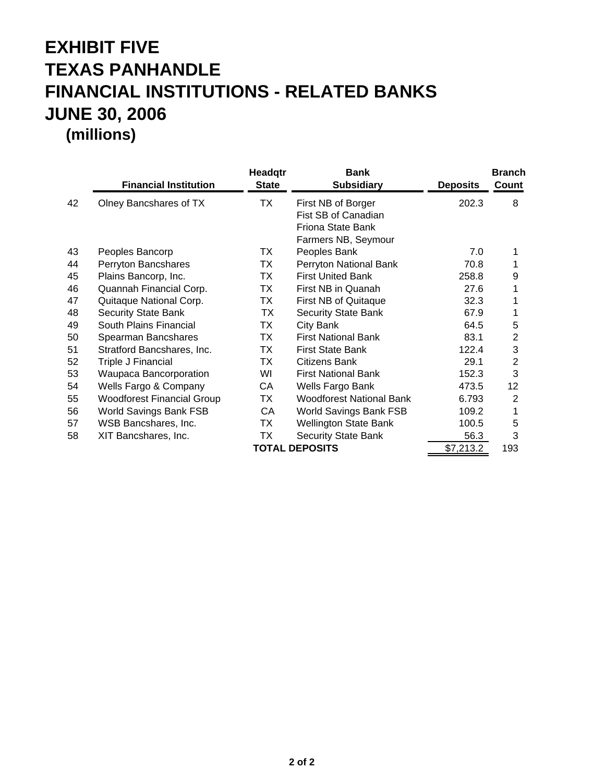## **EXHIBIT FIVE TEXAS PANHANDLE FINANCIAL INSTITUTIONS - RELATED BANKS JUNE 30, 2006 (millions)**

|    | <b>Financial Institution</b>      | Headqtr<br><b>State</b> | <b>Bank</b><br><b>Subsidiary</b>                                                      | <b>Deposits</b> | <b>Branch</b><br>Count |
|----|-----------------------------------|-------------------------|---------------------------------------------------------------------------------------|-----------------|------------------------|
| 42 | Olney Bancshares of TX            | ТX                      | First NB of Borger<br>Fist SB of Canadian<br>Friona State Bank<br>Farmers NB, Seymour | 202.3           | 8                      |
| 43 | Peoples Bancorp                   | ТX                      | Peoples Bank                                                                          | 7.0             | 1                      |
| 44 | Perryton Bancshares               | TX                      | Perryton National Bank                                                                | 70.8            |                        |
| 45 | Plains Bancorp, Inc.              | TX                      | <b>First United Bank</b>                                                              | 258.8           | 9                      |
| 46 | Quannah Financial Corp.           | TX                      | First NB in Quanah                                                                    | 27.6            | 1                      |
| 47 | Quitaque National Corp.           | TX                      | First NB of Quitaque                                                                  | 32.3            | 1                      |
| 48 | <b>Security State Bank</b>        | TX                      | <b>Security State Bank</b>                                                            | 67.9            | 1                      |
| 49 | South Plains Financial            | TX                      | City Bank                                                                             | 64.5            | 5                      |
| 50 | Spearman Bancshares               | TX                      | <b>First National Bank</b>                                                            | 83.1            | $\overline{2}$         |
| 51 | Stratford Bancshares, Inc.        | TX                      | <b>First State Bank</b>                                                               | 122.4           | 3                      |
| 52 | Triple J Financial                | TX                      | Citizens Bank                                                                         | 29.1            | $\overline{2}$         |
| 53 | Waupaca Bancorporation            | WI                      | <b>First National Bank</b>                                                            | 152.3           | 3                      |
| 54 | Wells Fargo & Company             | CA                      | Wells Fargo Bank                                                                      | 473.5           | 12                     |
| 55 | <b>Woodforest Financial Group</b> | TX                      | <b>Woodforest National Bank</b>                                                       | 6.793           | 2                      |
| 56 | <b>World Savings Bank FSB</b>     | CA                      | World Savings Bank FSB                                                                | 109.2           | 1                      |
| 57 | WSB Bancshares, Inc.              | TX                      | <b>Wellington State Bank</b>                                                          | 100.5           | 5                      |
| 58 | XIT Bancshares, Inc.              | TX                      | <b>Security State Bank</b>                                                            | 56.3            | 3                      |
|    |                                   |                         | <b>TOTAL DEPOSITS</b>                                                                 | \$7,213.2       | 193                    |